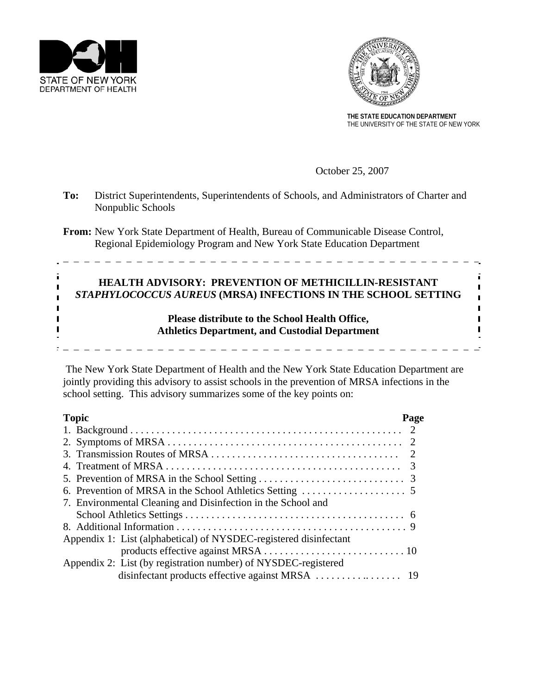



**THE STATE EDUCATION DEPARTMENT**  THE UNIVERSITY OF THE STATE OF NEW YORK

October 25, 2007

| To: | District Superintendents, Superintendents of Schools, and Administrators of Charter and<br>Nonpublic Schools                                                       |  |
|-----|--------------------------------------------------------------------------------------------------------------------------------------------------------------------|--|
|     | <b>From:</b> New York State Department of Health, Bureau of Communicable Disease Control,<br>Regional Epidemiology Program and New York State Education Department |  |
|     | HEALTH ADVISORY: PREVENTION OF METHICILLIN-RESISTANT<br>STAPHYLOCOCCUS AUREUS (MRSA) INFECTIONS IN THE SCHOOL SETTING                                              |  |
|     | Please distribute to the School Health Office,<br><b>Athletics Department, and Custodial Department</b>                                                            |  |

 The New York State Department of Health and the New York State Education Department are jointly providing this advisory to assist schools in the prevention of MRSA infections in the school setting. This advisory summarizes some of the key points on:

| <b>Topic</b>                                                      | Page |
|-------------------------------------------------------------------|------|
|                                                                   |      |
|                                                                   |      |
|                                                                   |      |
|                                                                   |      |
|                                                                   |      |
|                                                                   |      |
| 7. Environmental Cleaning and Disinfection in the School and      |      |
|                                                                   |      |
|                                                                   |      |
| Appendix 1: List (alphabetical) of NYSDEC-registered disinfectant |      |
|                                                                   |      |
| Appendix 2: List (by registration number) of NYSDEC-registered    |      |
|                                                                   |      |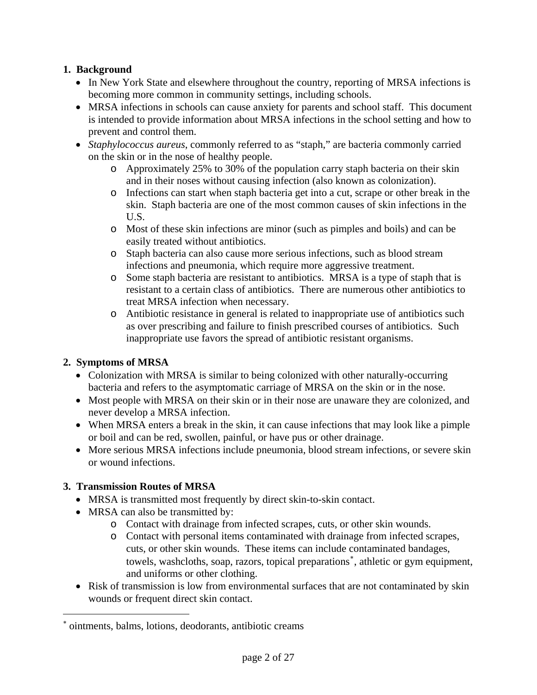## **1. Background**

- In New York State and elsewhere throughout the country, reporting of MRSA infections is becoming more common in community settings, including schools.
- MRSA infections in schools can cause anxiety for parents and school staff. This document is intended to provide information about MRSA infections in the school setting and how to prevent and control them.
- *Staphylococcus aureus*, commonly referred to as "staph," are bacteria commonly carried on the skin or in the nose of healthy people.
	- o Approximately 25% to 30% of the population carry staph bacteria on their skin and in their noses without causing infection (also known as colonization).
	- o Infections can start when staph bacteria get into a cut, scrape or other break in the skin. Staph bacteria are one of the most common causes of skin infections in the U.S.
	- o Most of these skin infections are minor (such as pimples and boils) and can be easily treated without antibiotics.
	- o Staph bacteria can also cause more serious infections, such as blood stream infections and pneumonia, which require more aggressive treatment.
	- o Some staph bacteria are resistant to antibiotics. MRSA is a type of staph that is resistant to a certain class of antibiotics. There are numerous other antibiotics to treat MRSA infection when necessary.
	- o Antibiotic resistance in general is related to inappropriate use of antibiotics such as over prescribing and failure to finish prescribed courses of antibiotics. Such inappropriate use favors the spread of antibiotic resistant organisms.

# **2. Symptoms of MRSA**

- Colonization with MRSA is similar to being colonized with other naturally-occurring bacteria and refers to the asymptomatic carriage of MRSA on the skin or in the nose.
- Most people with MRSA on their skin or in their nose are unaware they are colonized, and never develop a MRSA infection.
- When MRSA enters a break in the skin, it can cause infections that may look like a pimple or boil and can be red, swollen, painful, or have pus or other drainage.
- More serious MRSA infections include pneumonia, blood stream infections, or severe skin or wound infections.

# **3. Transmission Routes of MRSA**

 $\overline{a}$ 

- MRSA is transmitted most frequently by direct skin-to-skin contact.
- MRSA can also be transmitted by:
	- o Contact with drainage from infected scrapes, cuts, or other skin wounds.
	- o Contact with personal items contaminated with drainage from infected scrapes, cuts, or other skin wounds. These items can include contaminated bandages, towels, washcloths, soap, razors, topical preparations[∗](#page-1-0) , athletic or gym equipment, and uniforms or other clothing.
- Risk of transmission is low from environmental surfaces that are not contaminated by skin wounds or frequent direct skin contact.

<span id="page-1-0"></span><sup>∗</sup> ointments, balms, lotions, deodorants, antibiotic creams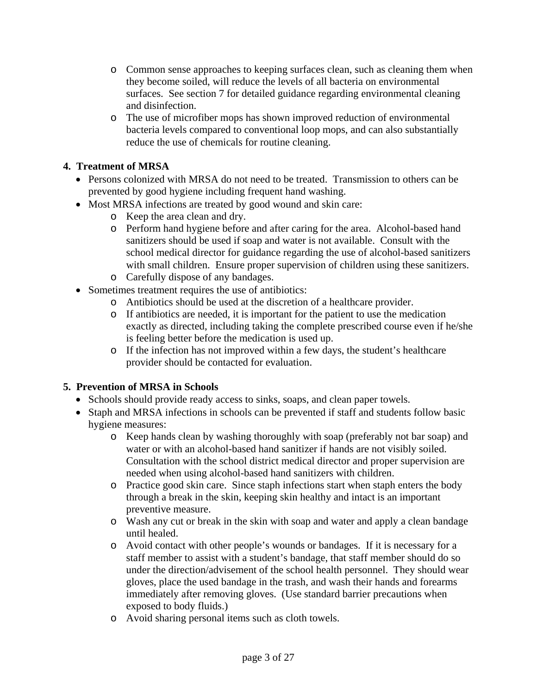- o Common sense approaches to keeping surfaces clean, such as cleaning them when they become soiled, will reduce the levels of all bacteria on environmental surfaces. See section 7 for detailed guidance regarding environmental cleaning and disinfection.
- o The use of microfiber mops has shown improved reduction of environmental bacteria levels compared to conventional loop mops, and can also substantially reduce the use of chemicals for routine cleaning.

## **4. Treatment of MRSA**

- Persons colonized with MRSA do not need to be treated. Transmission to others can be prevented by good hygiene including frequent hand washing.
- Most MRSA infections are treated by good wound and skin care:
	- o Keep the area clean and dry.
	- o Perform hand hygiene before and after caring for the area. Alcohol-based hand sanitizers should be used if soap and water is not available. Consult with the school medical director for guidance regarding the use of alcohol-based sanitizers with small children. Ensure proper supervision of children using these sanitizers. o Carefully dispose of any bandages.
- Sometimes treatment requires the use of antibiotics:
	- o Antibiotics should be used at the discretion of a healthcare provider.
	- o If antibiotics are needed, it is important for the patient to use the medication exactly as directed, including taking the complete prescribed course even if he/she is feeling better before the medication is used up.
	- o If the infection has not improved within a few days, the student's healthcare provider should be contacted for evaluation.

#### **5. Prevention of MRSA in Schools**

- Schools should provide ready access to sinks, soaps, and clean paper towels.
- Staph and MRSA infections in schools can be prevented if staff and students follow basic hygiene measures:
	- o Keep hands clean by washing thoroughly with soap (preferably not bar soap) and water or with an alcohol-based hand sanitizer if hands are not visibly soiled. Consultation with the school district medical director and proper supervision are needed when using alcohol-based hand sanitizers with children.
	- o Practice good skin care. Since staph infections start when staph enters the body through a break in the skin, keeping skin healthy and intact is an important preventive measure.
	- o Wash any cut or break in the skin with soap and water and apply a clean bandage until healed.
	- o Avoid contact with other people's wounds or bandages. If it is necessary for a staff member to assist with a student's bandage, that staff member should do so under the direction/advisement of the school health personnel. They should wear gloves, place the used bandage in the trash, and wash their hands and forearms immediately after removing gloves. (Use standard barrier precautions when exposed to body fluids.)
	- o Avoid sharing personal items such as cloth towels.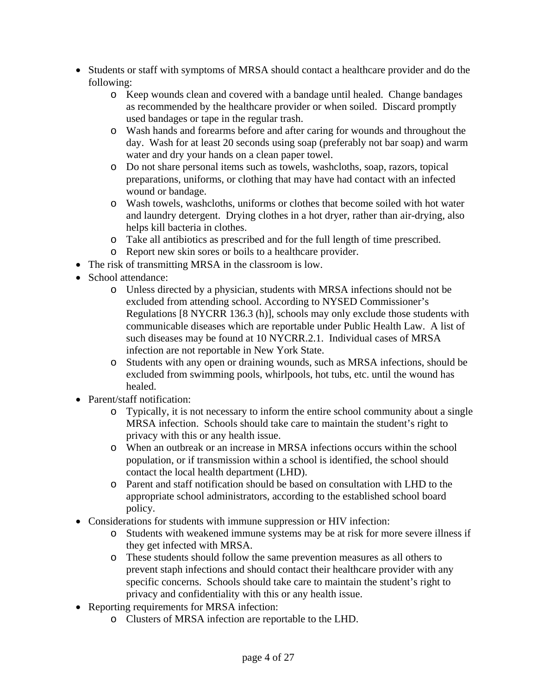- Students or staff with symptoms of MRSA should contact a healthcare provider and do the following:
	- o Keep wounds clean and covered with a bandage until healed. Change bandages as recommended by the healthcare provider or when soiled. Discard promptly used bandages or tape in the regular trash.
	- o Wash hands and forearms before and after caring for wounds and throughout the day. Wash for at least 20 seconds using soap (preferably not bar soap) and warm water and dry your hands on a clean paper towel.
	- o Do not share personal items such as towels, washcloths, soap, razors, topical preparations, uniforms, or clothing that may have had contact with an infected wound or bandage.
	- o Wash towels, washcloths, uniforms or clothes that become soiled with hot water and laundry detergent. Drying clothes in a hot dryer, rather than air-drying, also helps kill bacteria in clothes.
	- o Take all antibiotics as prescribed and for the full length of time prescribed.
	- o Report new skin sores or boils to a healthcare provider.
- The risk of transmitting MRSA in the classroom is low.
- School attendance:
	- o Unless directed by a physician, students with MRSA infections should not be excluded from attending school. According to NYSED Commissioner's Regulations [8 NYCRR 136.3 (h)], schools may only exclude those students with communicable diseases which are reportable under Public Health Law. A list of such diseases may be found at 10 NYCRR.2.1. Individual cases of MRSA infection are not reportable in New York State.
	- o Students with any open or draining wounds, such as MRSA infections, should be excluded from swimming pools, whirlpools, hot tubs, etc. until the wound has healed.
- Parent/staff notification:
	- o Typically, it is not necessary to inform the entire school community about a single MRSA infection. Schools should take care to maintain the student's right to privacy with this or any health issue.
	- o When an outbreak or an increase in MRSA infections occurs within the school population, or if transmission within a school is identified, the school should contact the local health department (LHD).
	- o Parent and staff notification should be based on consultation with LHD to the appropriate school administrators, according to the established school board policy.
- Considerations for students with immune suppression or HIV infection:
	- o Students with weakened immune systems may be at risk for more severe illness if they get infected with MRSA.
	- o These students should follow the same prevention measures as all others to prevent staph infections and should contact their healthcare provider with any specific concerns. Schools should take care to maintain the student's right to privacy and confidentiality with this or any health issue.
- Reporting requirements for MRSA infection:
	- o Clusters of MRSA infection are reportable to the LHD.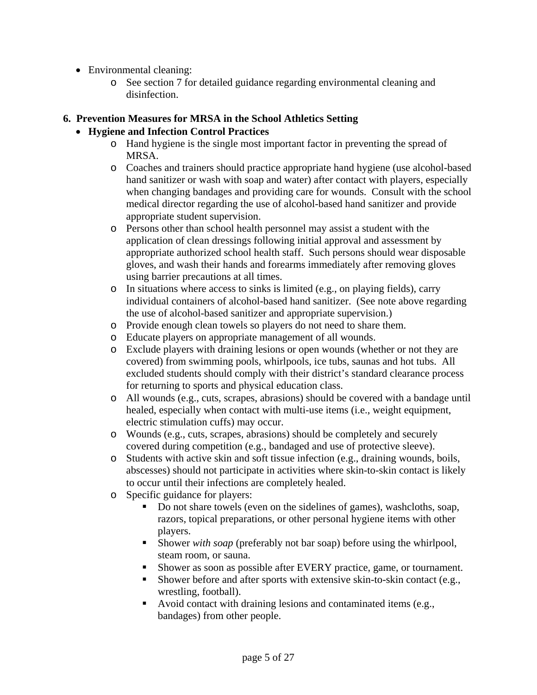- Environmental cleaning:
	- o See section 7 for detailed guidance regarding environmental cleaning and disinfection.

## **6. Prevention Measures for MRSA in the School Athletics Setting**

## • **Hygiene and Infection Control Practices**

- o Hand hygiene is the single most important factor in preventing the spread of MRSA.
- o Coaches and trainers should practice appropriate hand hygiene (use alcohol-based hand sanitizer or wash with soap and water) after contact with players, especially when changing bandages and providing care for wounds. Consult with the school medical director regarding the use of alcohol-based hand sanitizer and provide appropriate student supervision.
- o Persons other than school health personnel may assist a student with the application of clean dressings following initial approval and assessment by appropriate authorized school health staff. Such persons should wear disposable gloves, and wash their hands and forearms immediately after removing gloves using barrier precautions at all times.
- o In situations where access to sinks is limited (e.g., on playing fields), carry individual containers of alcohol-based hand sanitizer. (See note above regarding the use of alcohol-based sanitizer and appropriate supervision.)
- o Provide enough clean towels so players do not need to share them.
- o Educate players on appropriate management of all wounds.
- o Exclude players with draining lesions or open wounds (whether or not they are covered) from swimming pools, whirlpools, ice tubs, saunas and hot tubs. All excluded students should comply with their district's standard clearance process for returning to sports and physical education class.
- o All wounds (e.g., cuts, scrapes, abrasions) should be covered with a bandage until healed, especially when contact with multi-use items (i.e., weight equipment, electric stimulation cuffs) may occur.
- o Wounds (e.g., cuts, scrapes, abrasions) should be completely and securely covered during competition (e.g., bandaged and use of protective sleeve).
- o Students with active skin and soft tissue infection (e.g., draining wounds, boils, abscesses) should not participate in activities where skin-to-skin contact is likely to occur until their infections are completely healed.
- o Specific guidance for players:
	- Do not share towels (even on the sidelines of games), washcloths, soap, razors, topical preparations, or other personal hygiene items with other players.
	- Shower *with soap* (preferably not bar soap) before using the whirlpool, steam room, or sauna.
	- Shower as soon as possible after EVERY practice, game, or tournament.
	- Shower before and after sports with extensive skin-to-skin contact (e.g., wrestling, football).
	- Avoid contact with draining lesions and contaminated items (e.g., bandages) from other people.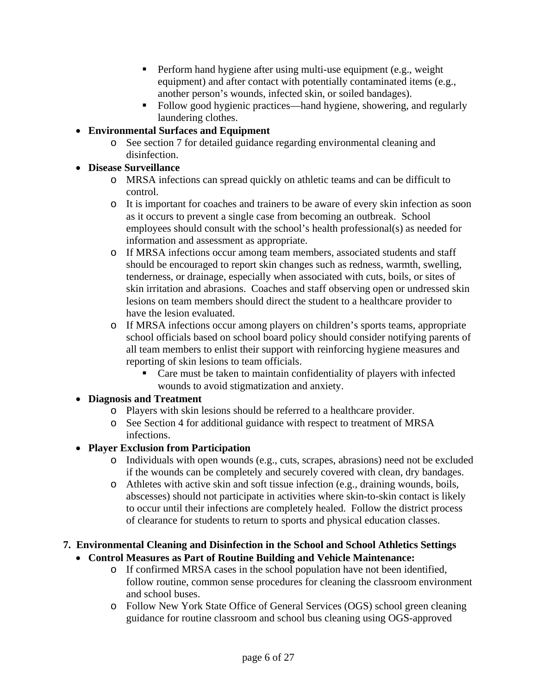- **Perform hand hygiene after using multi-use equipment (e.g., weight)** equipment) and after contact with potentially contaminated items (e.g., another person's wounds, infected skin, or soiled bandages).
- Follow good hygienic practices—hand hygiene, showering, and regularly laundering clothes.
- **Environmental Surfaces and Equipment**
	- o See section 7 for detailed guidance regarding environmental cleaning and disinfection.

## • **Disease Surveillance**

- o MRSA infections can spread quickly on athletic teams and can be difficult to control.
- o It is important for coaches and trainers to be aware of every skin infection as soon as it occurs to prevent a single case from becoming an outbreak. School employees should consult with the school's health professional(s) as needed for information and assessment as appropriate.
- o If MRSA infections occur among team members, associated students and staff should be encouraged to report skin changes such as redness, warmth, swelling, tenderness, or drainage, especially when associated with cuts, boils, or sites of skin irritation and abrasions. Coaches and staff observing open or undressed skin lesions on team members should direct the student to a healthcare provider to have the lesion evaluated.
- o If MRSA infections occur among players on children's sports teams, appropriate school officials based on school board policy should consider notifying parents of all team members to enlist their support with reinforcing hygiene measures and reporting of skin lesions to team officials.
	- Care must be taken to maintain confidentiality of players with infected wounds to avoid stigmatization and anxiety.

#### • **Diagnosis and Treatment**

- o Players with skin lesions should be referred to a healthcare provider.
- o See Section 4 for additional guidance with respect to treatment of MRSA infections.

# • **Player Exclusion from Participation**

- o Individuals with open wounds (e.g., cuts, scrapes, abrasions) need not be excluded if the wounds can be completely and securely covered with clean, dry bandages.
- o Athletes with active skin and soft tissue infection (e.g., draining wounds, boils, abscesses) should not participate in activities where skin-to-skin contact is likely to occur until their infections are completely healed. Follow the district process of clearance for students to return to sports and physical education classes.

# **7. Environmental Cleaning and Disinfection in the School and School Athletics Settings**

- **Control Measures as Part of Routine Building and Vehicle Maintenance:** 
	- o If confirmed MRSA cases in the school population have not been identified, follow routine, common sense procedures for cleaning the classroom environment and school buses.
	- o Follow New York State Office of General Services (OGS) school green cleaning guidance for routine classroom and school bus cleaning using OGS-approved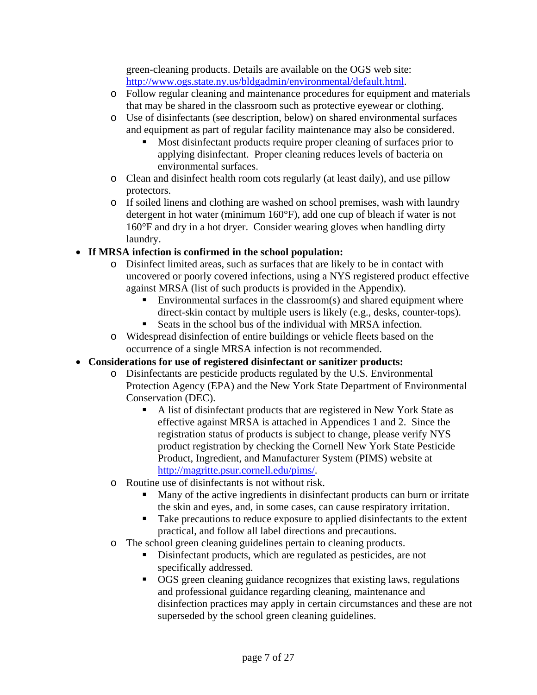green-cleaning products. Details are available on the OGS web site: [http://www.ogs.state.ny.us/bldgadmin/environmental/default.html.](http://www.ogs.state.ny.us/bldgadmin/environmental/default.html)

- o Follow regular cleaning and maintenance procedures for equipment and materials that may be shared in the classroom such as protective eyewear or clothing.
- o Use of disinfectants (see description, below) on shared environmental surfaces and equipment as part of regular facility maintenance may also be considered.
	- Most disinfectant products require proper cleaning of surfaces prior to applying disinfectant. Proper cleaning reduces levels of bacteria on environmental surfaces.
- o Clean and disinfect health room cots regularly (at least daily), and use pillow protectors.
- o If soiled linens and clothing are washed on school premises, wash with laundry detergent in hot water (minimum 160°F), add one cup of bleach if water is not 160°F and dry in a hot dryer. Consider wearing gloves when handling dirty laundry.

# • **If MRSA infection is confirmed in the school population:**

- o Disinfect limited areas, such as surfaces that are likely to be in contact with uncovered or poorly covered infections, using a NYS registered product effective against MRSA (list of such products is provided in the Appendix).
	- Environmental surfaces in the classroom(s) and shared equipment where direct-skin contact by multiple users is likely (e.g., desks, counter-tops).
	- Seats in the school bus of the individual with MRSA infection.
- o Widespread disinfection of entire buildings or vehicle fleets based on the occurrence of a single MRSA infection is not recommended.
- **Considerations for use of registered disinfectant or sanitizer products:**
	- o Disinfectants are pesticide products regulated by the U.S. Environmental Protection Agency (EPA) and the New York State Department of Environmental Conservation (DEC).
		- A list of disinfectant products that are registered in New York State as effective against MRSA is attached in Appendices 1 and 2. Since the registration status of products is subject to change, please verify NYS product registration by checking the Cornell New York State Pesticide Product, Ingredient, and Manufacturer System (PIMS) website at [http://magritte.psur.cornell.edu/pims/.](http://magritte.psur.cornell.edu/pims/)
	- o Routine use of disinfectants is not without risk.
		- Many of the active ingredients in disinfectant products can burn or irritate the skin and eyes, and, in some cases, can cause respiratory irritation.
		- Take precautions to reduce exposure to applied disinfectants to the extent practical, and follow all label directions and precautions.
	- o The school green cleaning guidelines pertain to cleaning products.
		- Disinfectant products, which are regulated as pesticides, are not specifically addressed.
		- OGS green cleaning guidance recognizes that existing laws, regulations and professional guidance regarding cleaning, maintenance and disinfection practices may apply in certain circumstances and these are not superseded by the school green cleaning guidelines.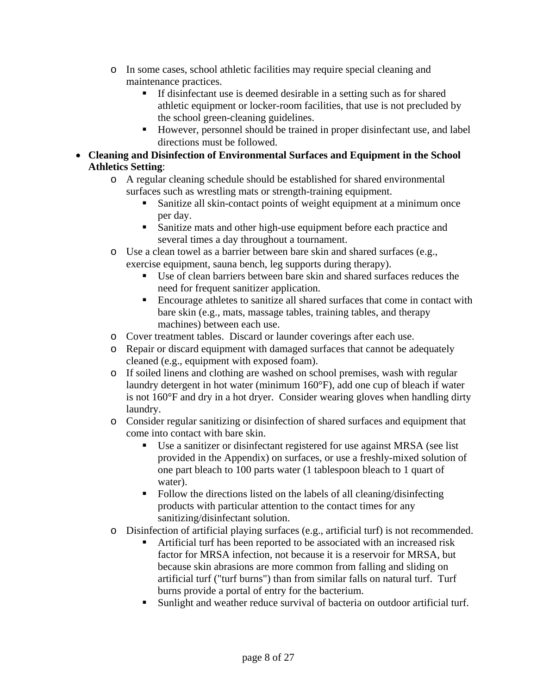- o In some cases, school athletic facilities may require special cleaning and maintenance practices.
	- If disinfectant use is deemed desirable in a setting such as for shared athletic equipment or locker-room facilities, that use is not precluded by the school green-cleaning guidelines.
	- However, personnel should be trained in proper disinfectant use, and label directions must be followed.
- **Cleaning and Disinfection of Environmental Surfaces and Equipment in the School Athletics Setting**:
	- o A regular cleaning schedule should be established for shared environmental surfaces such as wrestling mats or strength-training equipment.
		- Sanitize all skin-contact points of weight equipment at a minimum once per day.
		- Sanitize mats and other high-use equipment before each practice and several times a day throughout a tournament.
	- o Use a clean towel as a barrier between bare skin and shared surfaces (e.g., exercise equipment, sauna bench, leg supports during therapy).
		- Use of clean barriers between bare skin and shared surfaces reduces the need for frequent sanitizer application.
		- Encourage athletes to sanitize all shared surfaces that come in contact with bare skin (e.g., mats, massage tables, training tables, and therapy machines) between each use.
	- o Cover treatment tables. Discard or launder coverings after each use.
	- o Repair or discard equipment with damaged surfaces that cannot be adequately cleaned (e.g., equipment with exposed foam).
	- o If soiled linens and clothing are washed on school premises, wash with regular laundry detergent in hot water (minimum 160°F), add one cup of bleach if water is not 160°F and dry in a hot dryer. Consider wearing gloves when handling dirty laundry.
	- o Consider regular sanitizing or disinfection of shared surfaces and equipment that come into contact with bare skin.
		- Use a sanitizer or disinfectant registered for use against MRSA (see list provided in the Appendix) on surfaces, or use a freshly-mixed solution of one part bleach to 100 parts water (1 tablespoon bleach to 1 quart of water).
		- Follow the directions listed on the labels of all cleaning/disinfecting products with particular attention to the contact times for any sanitizing/disinfectant solution.
	- o Disinfection of artificial playing surfaces (e.g., artificial turf) is not recommended.
		- Artificial turf has been reported to be associated with an increased risk factor for MRSA infection, not because it is a reservoir for MRSA, but because skin abrasions are more common from falling and sliding on artificial turf ("turf burns") than from similar falls on natural turf. Turf burns provide a portal of entry for the bacterium.
		- Sunlight and weather reduce survival of bacteria on outdoor artificial turf.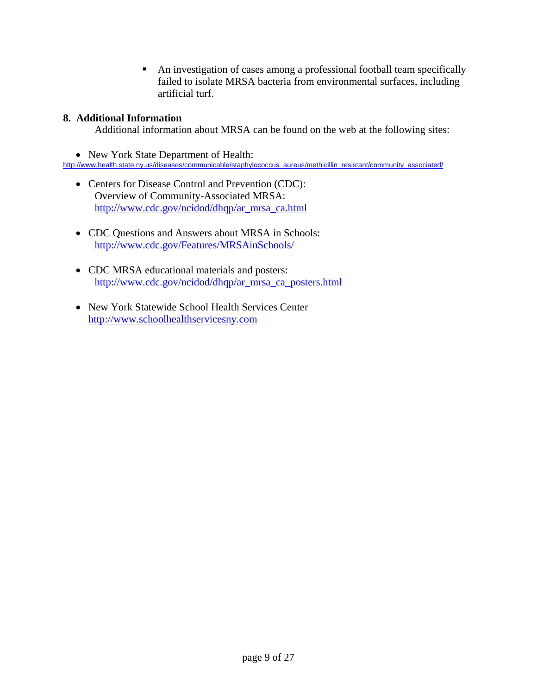An investigation of cases among a professional football team specifically failed to isolate MRSA bacteria from environmental surfaces, including artificial turf.

#### **8. Additional Information**

Additional information about MRSA can be found on the web at the following sites:

• New York State Department of Health:

[http://www.health.state.ny.us/diseases/communicable/staphylococcus\\_aureus/methicillin\\_resistant/community\\_associated/](http://www.health.state.ny.us/diseases/communicable/staphylococcus_aureus/methicillin_resistant/community_associated/)

- Centers for Disease Control and Prevention (CDC): Overview of Community-Associated MRSA: [http://www.cdc.gov/ncidod/dhqp/ar\\_mrsa\\_ca.html](http://www.cdc.gov/ncidod/dhqp/ar_mrsa_ca.html)
- CDC Questions and Answers about MRSA in Schools: <http://www.cdc.gov/Features/MRSAinSchools/>
- CDC MRSA educational materials and posters: [http://www.cdc.gov/ncidod/dhqp/ar\\_mrsa\\_ca\\_posters.html](http://www.cdc.gov/ncidod/dhqp/ar_mrsa_ca_posters.html)
- New York Statewide School Health Services Center [http://www.schoolhealthservicesny.com](http://www.schoolhealthservicesny.com/)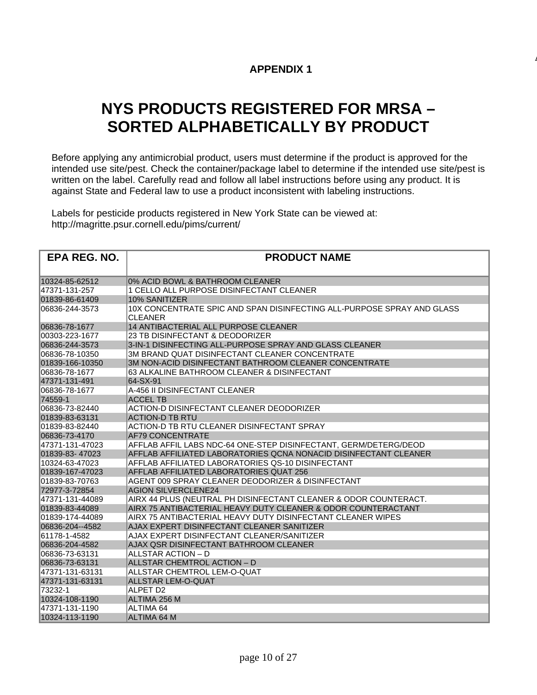## **APPENDIX 1**

**A**

# **NYS PRODUCTS REGISTERED FOR MRSA – SORTED ALPHABETICALLY BY PRODUCT**

Before applying any antimicrobial product, users must determine if the product is approved for the intended use site/pest. Check the container/package label to determine if the intended use site/pest is written on the label. Carefully read and follow all label instructions before using any product. It is against State and Federal law to use a product inconsistent with labeling instructions.

Labels for pesticide products registered in New York State can be viewed at: http://magritte.psur.cornell.edu/pims/current/

| EPA REG. NO.    | <b>PRODUCT NAME</b>                                                               |
|-----------------|-----------------------------------------------------------------------------------|
|                 |                                                                                   |
| 10324-85-62512  | 0% ACID BOWL & BATHROOM CLEANER                                                   |
| 47371-131-257   | 1 CELLO ALL PURPOSE DISINFECTANT CLEANER                                          |
| 01839-86-61409  | 10% SANITIZER                                                                     |
| 06836-244-3573  | 10X CONCENTRATE SPIC AND SPAN DISINFECTING ALL-PURPOSE SPRAY AND GLASS<br>CLEANER |
| 06836-78-1677   | <b>14 ANTIBACTERIAL ALL PURPOSE CLEANER</b>                                       |
| 00303-223-1677  | 23 TB DISINFECTANT & DEODORIZER                                                   |
| 06836-244-3573  | 3-IN-1 DISINFECTING ALL-PURPOSE SPRAY AND GLASS CLEANER                           |
| 06836-78-10350  | 3M BRAND QUAT DISINFECTANT CLEANER CONCENTRATE                                    |
| 01839-166-10350 | 3M NON-ACID DISINFECTANT BATHROOM CLEANER CONCENTRATE                             |
| 06836-78-1677   | 63 ALKALINE BATHROOM CLEANER & DISINFECTANT                                       |
| 47371-131-491   | 64-SX-91                                                                          |
| 06836-78-1677   | A-456 II DISINFECTANT CLEANER                                                     |
| 74559-1         | <b>ACCEL TB</b>                                                                   |
| 06836-73-82440  | ACTION-D DISINFECTANT CLEANER DEODORIZER                                          |
| 01839-83-63131  | <b>ACTION-D TB RTU</b>                                                            |
| 01839-83-82440  | ACTION-D TB RTU CLEANER DISINFECTANT SPRAY                                        |
| 06836-73-4170   | <b>AF79 CONCENTRATE</b>                                                           |
| 47371-131-47023 | AFFLAB AFFIL LABS NDC-64 ONE-STEP DISINFECTANT, GERM/DETERG/DEOD                  |
| 01839-83-47023  | AFFLAB AFFILIATED LABORATORIES QCNA NONACID DISINFECTANT CLEANER                  |
| 10324-63-47023  | AFFLAB AFFILIATED LABORATORIES QS-10 DISINFECTANT                                 |
| 01839-167-47023 | AFFLAB AFFILIATED LABORATORIES QUAT 256                                           |
| 01839-83-70763  | AGENT 009 SPRAY CLEANER DEODORIZER & DISINFECTANT                                 |
| 72977-3-72854   | <b>AGION SILVERCLENE24</b>                                                        |
| 47371-131-44089 | AIRX 44 PLUS (NEUTRAL PH DISINFECTANT CLEANER & ODOR COUNTERACT.                  |
| 01839-83-44089  | AIRX 75 ANTIBACTERIAL HEAVY DUTY CLEANER & ODOR COUNTERACTANT                     |
| 01839-174-44089 | AIRX 75 ANTIBACTERIAL HEAVY DUTY DISINFECTANT CLEANER WIPES                       |
| 06836-204--4582 | AJAX EXPERT DISINFECTANT CLEANER SANITIZER                                        |
| 61178-1-4582    | AJAX EXPERT DISINFECTANT CLEANER/SANITIZER                                        |
| 06836-204-4582  | AJAX QSR DISINFECTANT BATHROOM CLEANER                                            |
| 06836-73-63131  | ALLSTAR ACTION – D                                                                |
| 06836-73-63131  | ALLSTAR CHEMTROL ACTION - D                                                       |
| 47371-131-63131 | ALLSTAR CHEMTROL LEM-O-QUAT                                                       |
| 47371-131-63131 | <b>ALLSTAR LEM-O-QUAT</b>                                                         |
| 73232-1         | ALPET D <sub>2</sub>                                                              |
| 10324-108-1190  | ALTIMA 256 M                                                                      |
| 47371-131-1190  | ALTIMA 64                                                                         |
| 10324-113-1190  | <b>ALTIMA 64 M</b>                                                                |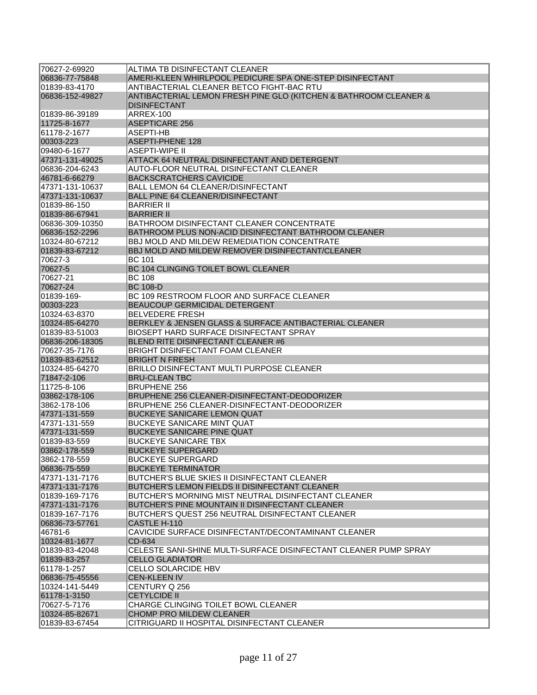| 70627-2-69920   | ALTIMA TB DISINFECTANT CLEANER                                                          |
|-----------------|-----------------------------------------------------------------------------------------|
| 06836-77-75848  | AMERI-KLEEN WHIRLPOOL PEDICURE SPA ONE-STEP DISINFECTANT                                |
| 01839-83-4170   | ANTIBACTERIAL CLEANER BETCO FIGHT-BAC RTU                                               |
| 06836-152-49827 | ANTIBACTERIAL LEMON FRESH PINE GLO (KITCHEN & BATHROOM CLEANER &<br><b>DISINFECTANT</b> |
| 01839-86-39189  | ARREX-100                                                                               |
| 11725-8-1677    | <b>ASEPTICARE 256</b>                                                                   |
| 61178-2-1677    | ASEPTI-HB                                                                               |
| 00303-223       | <b>ASEPTI-PHENE 128</b>                                                                 |
| 09480-6-1677    | <b>ASEPTI-WIPE II</b>                                                                   |
| 47371-131-49025 | ATTACK 64 NEUTRAL DISINFECTANT AND DETERGENT                                            |
| 06836-204-6243  | AUTO-FLOOR NEUTRAL DISINFECTANT CLEANER                                                 |
| 46781-6-66279   | <b>BACKSCRATCHERS CAVICIDE</b>                                                          |
| 47371-131-10637 | <b>BALL LEMON 64 CLEANER/DISINFECTANT</b>                                               |
| 47371-131-10637 | <b>BALL PINE 64 CLEANER/DISINFECTANT</b>                                                |
| 01839-86-150    | <b>BARRIER II</b>                                                                       |
| 01839-86-67941  | <b>BARRIER II</b>                                                                       |
| 06836-309-10350 | BATHROOM DISINFECTANT CLEANER CONCENTRATE                                               |
| 06836-152-2296  | BATHROOM PLUS NON-ACID DISINFECTANT BATHROOM CLEANER                                    |
| 10324-80-67212  | <b>BBJ MOLD AND MILDEW REMEDIATION CONCENTRATE</b>                                      |
| 01839-83-67212  | BBJ MOLD AND MILDEW REMOVER DISINFECTANT/CLEANER                                        |
| 70627-3         | <b>BC 101</b>                                                                           |
| 70627-5         | BC 104 CLINGING TOILET BOWL CLEANER                                                     |
| 70627-21        | <b>BC 108</b>                                                                           |
| 70627-24        | <b>BC 108-D</b>                                                                         |
| 01839-169-      | BC 109 RESTROOM FLOOR AND SURFACE CLEANER                                               |
| 00303-223       | BEAUCOUP GERMICIDAL DETERGENT                                                           |
| 10324-63-8370   | <b>BELVEDERE FRESH</b>                                                                  |
| 10324-85-64270  | BERKLEY & JENSEN GLASS & SURFACE ANTIBACTERIAL CLEANER                                  |
| 01839-83-51003  | BIOSEPT HARD SURFACE DISINFECTANT SPRAY                                                 |
| 06836-206-18305 | BLEND RITE DISINFECTANT CLEANER #6                                                      |
| 70627-35-7176   | BRIGHT DISINFECTANT FOAM CLEANER                                                        |
| 01839-83-62512  | <b>BRIGHT N FRESH</b>                                                                   |
| 10324-85-64270  | <b>BRILLO DISINFECTANT MULTI PURPOSE CLEANER</b>                                        |
| 71847-2-106     | <b>BRU-CLEAN TBC</b>                                                                    |
| 11725-8-106     | <b>BRUPHENE 256</b>                                                                     |
| 03862-178-106   | BRUPHENE 256 CLEANER-DISINFECTANT-DEODORIZER                                            |
| 3862-178-106    | BRUPHENE 256 CLEANER-DISINFECTANT-DEODORIZER                                            |
| 47371-131-559   | <b>BUCKEYE SANICARE LEMON QUAT</b>                                                      |
| 47371-131-559   | <b>BUCKEYE SANICARE MINT QUAT</b>                                                       |
| 47371-131-559   | <b>BUCKEYE SANICARE PINE QUAT</b>                                                       |
| 01839-83-559    | <b>BUCKEYE SANICARE TBX</b>                                                             |
| 03862-178-559   | <b>BUCKEYE SUPERGARD</b>                                                                |
| 3862-178-559    | BUCKEYE SUPERGARD                                                                       |
| 06836-75-559    | <b>BUCKEYE TERMINATOR</b>                                                               |
| 47371-131-7176  | <b>BUTCHER'S BLUE SKIES II DISINFECTANT CLEANER</b>                                     |
| 47371-131-7176  | <b>BUTCHER'S LEMON FIELDS II DISINFECTANT CLEANER</b>                                   |
| 01839-169-7176  | BUTCHER'S MORNING MIST NEUTRAL DISINFECTANT CLEANER                                     |
| 47371-131-7176  | BUTCHER'S PINE MOUNTAIN II DISINFECTANT CLEANER                                         |
| 101839-167-7176 | BUTCHER'S QUEST 256 NEUTRAL DISINFECTANT CLEANER                                        |
| 06836-73-57761  | CASTLE H-110                                                                            |
| 46781-6         | CAVICIDE SURFACE DISINFECTANT/DECONTAMINANT CLEANER                                     |
| 10324-81-1677   | CD-634                                                                                  |
| 01839-83-42048  | CELESTE SANI-SHINE MULTI-SURFACE DISINFECTANT CLEANER PUMP SPRAY                        |
| 01839-83-257    | <b>CELLO GLADIATOR</b>                                                                  |
| 61178-1-257     | CELLO SOLARCIDE HBV                                                                     |
| 06836-75-45556  | <b>CEN-KLEEN IV</b>                                                                     |
| 10324-141-5449  | CENTURY Q 256                                                                           |
| 61178-1-3150    | <b>CETYLCIDE II</b>                                                                     |
| 70627-5-7176    | CHARGE CLINGING TOILET BOWL CLEANER                                                     |
| 10324-85-82671  | <b>CHOMP PRO MILDEW CLEANER</b>                                                         |
| 01839-83-67454  | CITRIGUARD II HOSPITAL DISINFECTANT CLEANER                                             |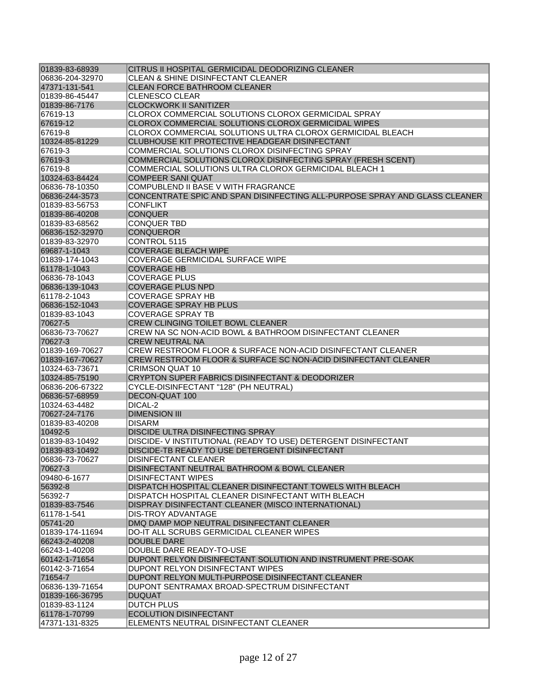| 01839-83-68939  | CITRUS II HOSPITAL GERMICIDAL DEODORIZING CLEANER                          |
|-----------------|----------------------------------------------------------------------------|
| 06836-204-32970 | <b>CLEAN &amp; SHINE DISINFECTANT CLEANER</b>                              |
| 47371-131-541   | <b>CLEAN FORCE BATHROOM CLEANER</b>                                        |
| 01839-86-45447  | <b>CLENESCO CLEAR</b>                                                      |
| 01839-86-7176   | <b>CLOCKWORK II SANITIZER</b>                                              |
| 67619-13        | CLOROX COMMERCIAL SOLUTIONS CLOROX GERMICIDAL SPRAY                        |
| 67619-12        | CLOROX COMMERCIAL SOLUTIONS CLOROX GERMICIDAL WIPES                        |
| 67619-8         | CLOROX COMMERCIAL SOLUTIONS ULTRA CLOROX GERMICIDAL BLEACH                 |
| 10324-85-81229  | CLUBHOUSE KIT PROTECTIVE HEADGEAR DISINFECTANT                             |
| 67619-3         | COMMERCIAL SOLUTIONS CLOROX DISINFECTING SPRAY                             |
| 67619-3         | COMMERCIAL SOLUTIONS CLOROX DISINFECTING SPRAY (FRESH SCENT)               |
| 67619-8         | COMMERCIAL SOLUTIONS ULTRA CLOROX GERMICIDAL BLEACH 1                      |
| 10324-63-84424  | <b>COMPEER SANI QUAT</b>                                                   |
| 06836-78-10350  | COMPUBLEND II BASE V WITH FRAGRANCE                                        |
| 06836-244-3573  | CONCENTRATE SPIC AND SPAN DISINFECTING ALL-PURPOSE SPRAY AND GLASS CLEANER |
| 01839-83-56753  | CONFLIKT                                                                   |
| 01839-86-40208  | <b>CONQUER</b>                                                             |
| 01839-83-68562  | <b>CONQUER TBD</b>                                                         |
| 06836-152-32970 | <b>CONQUEROR</b>                                                           |
| 01839-83-32970  | CONTROL 5115                                                               |
| 69687-1-1043    | <b>COVERAGE BLEACH WIPE</b>                                                |
| 01839-174-1043  | COVERAGE GERMICIDAL SURFACE WIPE                                           |
| 61178-1-1043    | <b>COVERAGE HB</b>                                                         |
| 06836-78-1043   | <b>COVERAGE PLUS</b>                                                       |
| 06836-139-1043  | <b>COVERAGE PLUS NPD</b>                                                   |
| 61178-2-1043    | <b>COVERAGE SPRAY HB</b>                                                   |
| 06836-152-1043  | <b>COVERAGE SPRAY HB PLUS</b>                                              |
| 01839-83-1043   | <b>COVERAGE SPRAY TB</b>                                                   |
| 70627-5         | CREW CLINGING TOILET BOWL CLEANER                                          |
| 06836-73-70627  | CREW NA SC NON-ACID BOWL & BATHROOM DISINFECTANT CLEANER                   |
| 70627-3         | <b>CREW NEUTRAL NA</b>                                                     |
| 01839-169-70627 | CREW RESTROOM FLOOR & SURFACE NON-ACID DISINFECTANT CLEANER                |
| 01839-167-70627 | CREW RESTROOM FLOOR & SURFACE SC NON-ACID DISINFECTANT CLEANER             |
| 10324-63-73671  | CRIMSON QUAT 10                                                            |
| 10324-85-75190  | CRYPTON SUPER FABRICS DISINFECTANT & DEODORIZER                            |
| 06836-206-67322 | CYCLE-DISINFECTANT "128" (PH NEUTRAL)                                      |
| 06836-57-68959  | DECON-QUAT 100                                                             |
| 10324-63-4482   | DICAL-2                                                                    |
| 70627-24-7176   | <b>DIMENSION III</b>                                                       |
| 01839-83-40208  | <b>DISARM</b>                                                              |
| 10492-5         | DISCIDE ULTRA DISINFECTING SPRAY                                           |
| 01839-83-10492  | DISCIDE- V INSTITUTIONAL (READY TO USE) DETERGENT DISINFECTANT             |
| 01839-83-10492  | DISCIDE-TB READY TO USE DETERGENT DISINFECTANT                             |
| 06836-73-70627  | <b>DISINFECTANT CLEANER</b>                                                |
| 70627-3         | DISINFECTANT NEUTRAL BATHROOM & BOWL CLEANER                               |
| 09480-6-1677    | <b>DISINFECTANT WIPES</b>                                                  |
| 56392-8         | DISPATCH HOSPITAL CLEANER DISINFECTANT TOWELS WITH BLEACH                  |
| 56392-7         | DISPATCH HOSPITAL CLEANER DISINFECTANT WITH BLEACH                         |
| 01839-83-7546   | DISPRAY DISINFECTANT CLEANER (MISCO INTERNATIONAL)                         |
| 61178-1-541     | DIS-TROY ADVANTAGE                                                         |
| 05741-20        | DMQ DAMP MOP NEUTRAL DISINFECTANT CLEANER                                  |
| 01839-174-11694 | DO-IT ALL SCRUBS GERMICIDAL CLEANER WIPES                                  |
| 66243-2-40208   | DOUBLE DARE                                                                |
| 66243-1-40208   | DOUBLE DARE READY-TO-USE                                                   |
| 60142-1-71654   | DUPONT RELYON DISINFECTANT SOLUTION AND INSTRUMENT PRE-SOAK                |
| 60142-3-71654   | DUPONT RELYON DISINFECTANT WIPES                                           |
| 71654-7         | DUPONT RELYON MULTI-PURPOSE DISINFECTANT CLEANER                           |
| 06836-139-71654 | DUPONT SENTRAMAX BROAD-SPECTRUM DISINFECTANT                               |
| 01839-166-36795 | <b>DUQUAT</b>                                                              |
| 01839-83-1124   | <b>DUTCH PLUS</b>                                                          |
| 61178-1-70799   | <b>ECOLUTION DISINFECTANT</b>                                              |
| 47371-131-8325  | ELEMENTS NEUTRAL DISINFECTANT CLEANER                                      |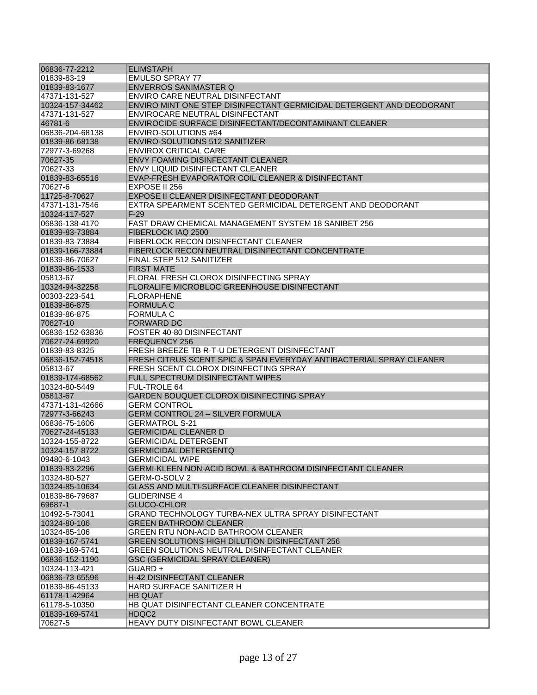| 06836-77-2212   | <b>ELIMSTAPH</b>                                                     |
|-----------------|----------------------------------------------------------------------|
| 01839-83-19     | <b>EMULSO SPRAY 77</b>                                               |
| 01839-83-1677   | <b>ENVERROS SANIMASTER Q</b>                                         |
| 47371-131-527   | ENVIRO CARE NEUTRAL DISINFECTANT                                     |
| 10324-157-34462 | ENVIRO MINT ONE STEP DISINFECTANT GERMICIDAL DETERGENT AND DEODORANT |
| 47371-131-527   | ENVIROCARE NEUTRAL DISINFECTANT                                      |
| 46781-6         | ENVIROCIDE SURFACE DISINFECTANT/DECONTAMINANT CLEANER                |
| 06836-204-68138 | ENVIRO-SOLUTIONS #64                                                 |
| 01839-86-68138  | ENVIRO-SOLUTIONS 512 SANITIZER                                       |
| 172977-3-69268  | <b>ENVIROX CRITICAL CARE</b>                                         |
| 70627-35        | ENVY FOAMING DISINFECTANT CLEANER                                    |
| 70627-33        | <b>ENVY LIQUID DISINFECTANT CLEANER</b>                              |
| 01839-83-65516  | EVAP-FRESH EVAPORATOR COIL CLEANER & DISINFECTANT                    |
| 70627-6         | EXPOSE II 256                                                        |
| 11725-8-70627   | EXPOSE II CLEANER DISINFECTANT DEODORANT                             |
| 47371-131-7546  | EXTRA SPEARMENT SCENTED GERMICIDAL DETERGENT AND DEODORANT           |
| 10324-117-527   | $F-29$                                                               |
| 06836-138-4170  | FAST DRAW CHEMICAL MANAGEMENT SYSTEM 18 SANIBET 256                  |
| 01839-83-73884  | FIBERLOCK IAQ 2500                                                   |
| 01839-83-73884  | <b>FIBERLOCK RECON DISINFECTANT CLEANER</b>                          |
| 01839-166-73884 | FIBERLOCK RECON NEUTRAL DISINFECTANT CONCENTRATE                     |
| 01839-86-70627  | FINAL STEP 512 SANITIZER                                             |
| 01839-86-1533   | <b>FIRST MATE</b>                                                    |
| 05813-67        | <b>FLORAL FRESH CLOROX DISINFECTING SPRAY</b>                        |
| 10324-94-32258  | FLORALIFE MICROBLOC GREENHOUSE DISINFECTANT                          |
| 00303-223-541   | <b>FLORAPHENE</b>                                                    |
| 01839-86-875    | <b>FORMULA C</b>                                                     |
| 01839-86-875    | FORMULA C                                                            |
| 70627-10        | <b>FORWARD DC</b>                                                    |
| 06836-152-63836 | FOSTER 40-80 DISINFECTANT                                            |
| 70627-24-69920  | <b>FREQUENCY 256</b>                                                 |
| 01839-83-8325   | FRESH BREEZE TB R-T-U DETERGENT DISINFECTANT                         |
| 06836-152-74518 | FRESH CITRUS SCENT SPIC & SPAN EVERYDAY ANTIBACTERIAL SPRAY CLEANER  |
| 05813-67        | FRESH SCENT CLOROX DISINFECTING SPRAY                                |
| 01839-174-68562 | <b>FULL SPECTRUM DISINFECTANT WIPES</b>                              |
| 10324-80-5449   | <b>FUL-TROLE 64</b>                                                  |
| 05813-67        | GARDEN BOUQUET CLOROX DISINFECTING SPRAY                             |
| 47371-131-42666 | GERM CONTROL                                                         |
| 72977-3-66243   | <b>GERM CONTROL 24 - SILVER FORMULA</b>                              |
| 06836-75-1606   | <b>GERMATROL S-21</b>                                                |
| 70627-24-45133  | <b>GERMICIDAL CLEANER D</b>                                          |
| 10324-155-8722  | GERMICIDAL DETERGENT                                                 |
| 10324-157-8722  | <b>GERMICIDAL DETERGENTQ</b>                                         |
| 09480-6-1043    | <b>GERMICIDAL WIPE</b>                                               |
| 01839-83-2296   | <b>GERMI-KLEEN NON-ACID BOWL &amp; BATHROOM DISINFECTANT CLEANER</b> |
| 10324-80-527    | GERM-O-SOLV 2                                                        |
| 10324-85-10634  | GLASS AND MULTI-SURFACE CLEANER DISINFECTANT                         |
| 01839-86-79687  | <b>GLIDERINSE 4</b>                                                  |
| 69687-1         | GLUCO-CHLOR                                                          |
| 10492-5-73041   | GRAND TECHNOLOGY TURBA-NEX ULTRA SPRAY DISINFECTANT                  |
| 10324-80-106    | <b>GREEN BATHROOM CLEANER</b>                                        |
| 10324-85-106    | <b>GREEN RTU NON-ACID BATHROOM CLEANER</b>                           |
| 01839-167-5741  | <b>GREEN SOLUTIONS HIGH DILUTION DISINFECTANT 256</b>                |
| 01839-169-5741  | GREEN SOLUTIONS NEUTRAL DISINFECTANT CLEANER                         |
| 06836-152-1190  | GSC (GERMICIDAL SPRAY CLEANER)                                       |
| 10324-113-421   | GUARD+                                                               |
| 06836-73-65596  | <b>H-42 DISINFECTANT CLEANER</b>                                     |
| 01839-86-45133  | HARD SURFACE SANITIZER H                                             |
| 61178-1-42964   | <b>HB QUAT</b>                                                       |
| 61178-5-10350   | HB QUAT DISINFECTANT CLEANER CONCENTRATE                             |
| 01839-169-5741  | HDQC2                                                                |
| 70627-5         | HEAVY DUTY DISINFECTANT BOWL CLEANER                                 |
|                 |                                                                      |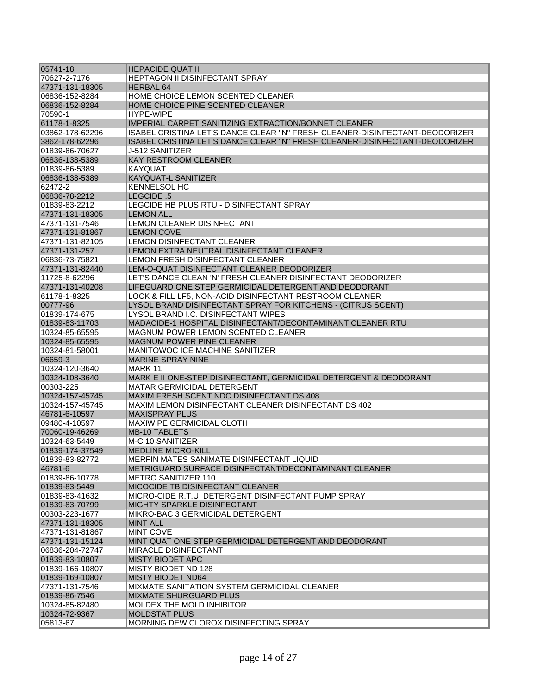| 05741-18        | <b>HEPACIDE QUAT II</b>                                                     |
|-----------------|-----------------------------------------------------------------------------|
| 70627-2-7176    | <b>HEPTAGON II DISINFECTANT SPRAY</b>                                       |
| 47371-131-18305 | <b>HERBAL 64</b>                                                            |
| 06836-152-8284  | HOME CHOICE LEMON SCENTED CLEANER                                           |
| 06836-152-8284  | HOME CHOICE PINE SCENTED CLEANER                                            |
| 70590-1         | HYPF-WIPF                                                                   |
| 61178-1-8325    | IMPERIAL CARPET SANITIZING EXTRACTION/BONNET CLEANER                        |
| 03862-178-62296 | ISABEL CRISTINA LET'S DANCE CLEAR "N" FRESH CLEANER-DISINFECTANT-DEODORIZER |
| 3862-178-62296  | ISABEL CRISTINA LET'S DANCE CLEAR "N" FRESH CLEANER-DISINFECTANT-DEODORIZER |
| 01839-86-70627  | J-512 SANITIZER                                                             |
| 06836-138-5389  | <b>KAY RESTROOM CLEANER</b>                                                 |
| 01839-86-5389   | KAYQUAT                                                                     |
| 06836-138-5389  | <b>KAYQUAT-L SANITIZER</b>                                                  |
| 62472-2         | KENNELSOL HC                                                                |
| 06836-78-2212   | LEGCIDE .5                                                                  |
| 01839-83-2212   | LEGCIDE HB PLUS RTU - DISINFECTANT SPRAY                                    |
| 47371-131-18305 | <b>LEMON ALL</b>                                                            |
| 47371-131-7546  | <b>LEMON CLEANER DISINFECTANT</b>                                           |
| 47371-131-81867 | <b>LEMON COVE</b>                                                           |
| 47371-131-82105 | <b>LEMON DISINFECTANT CLEANER</b>                                           |
| 47371-131-257   | LEMON EXTRA NEUTRAL DISINFECTANT CLEANER                                    |
| 06836-73-75821  | LEMON FRESH DISINFECTANT CLEANER                                            |
| 47371-131-82440 | LEM-O-QUAT DISINFECTANT CLEANER DEODORIZER                                  |
| 11725-8-62296   | LET'S DANCE CLEAN 'N' FRESH CLEANER DISINFECTANT DEODORIZER                 |
| 47371-131-40208 | LIFEGUARD ONE STEP GERMICIDAL DETERGENT AND DEODORANT                       |
| 61178-1-8325    | LOCK & FILL LF5, NON-ACID DISINFECTANT RESTROOM CLEANER                     |
| 00777-96        | LYSOL BRAND DISINFECTANT SPRAY FOR KITCHENS - (CITRUS SCENT)                |
| 01839-174-675   | LYSOL BRAND I.C. DISINFECTANT WIPES                                         |
| 01839-83-11703  | MADACIDE-1 HOSPITAL DISINFECTANT/DECONTAMINANT CLEANER RTU                  |
| 10324-85-65595  | MAGNUM POWER LEMON SCENTED CLEANER                                          |
| 10324-85-65595  | <b>MAGNUM POWER PINE CLEANER</b>                                            |
| 10324-81-58001  | MANITOWOC ICE MACHINE SANITIZER                                             |
| 06659-3         | <b>MARINE SPRAY NINE</b>                                                    |
| 10324-120-3640  | MARK 11                                                                     |
| 10324-108-3640  | MARK E II ONE-STEP DISINFECTANT, GERMICIDAL DETERGENT & DEODORANT           |
| 00303-225       | MATAR GERMICIDAL DETERGENT                                                  |
| 10324-157-45745 | MAXIM FRESH SCENT NDC DISINFECTANT DS 408                                   |
| 10324-157-45745 | MAXIM LEMON DISINFECTANT CLEANER DISINFECTANT DS 402                        |
| 46781-6-10597   | <b>MAXISPRAY PLUS</b>                                                       |
| 09480-4-10597   | <b>MAXIWIPE GERMICIDAL CLOTH</b>                                            |
| 70060-19-46269  | <b>MB-10 TABLETS</b>                                                        |
| 10324-63-5449   | M-C 10 SANITIZER                                                            |
| 01839-174-37549 | <b>MEDLINE MICRO-KILL</b>                                                   |
| 01839-83-82772  | MERFIN MATES SANIMATE DISINFECTANT LIQUID                                   |
| 46781-6         | METRIGUARD SURFACE DISINFECTANT/DECONTAMINANT CLEANER                       |
| 01839-86-10778  | <b>METRO SANITIZER 110</b>                                                  |
| 01839-83-5449   | MICOCIDE TB DISINFECTANT CLEANER                                            |
| 01839-83-41632  | MICRO-CIDE R.T.U. DETERGENT DISINFECTANT PUMP SPRAY                         |
| 01839-83-70799  | MIGHTY SPARKLE DISINFECTANT                                                 |
| 00303-223-1677  | MIKRO-BAC 3 GERMICIDAL DETERGENT                                            |
| 47371-131-18305 | <b>MINT ALL</b>                                                             |
| 47371-131-81867 | <b>MINT COVE</b>                                                            |
| 47371-131-15124 | MINT QUAT ONE STEP GERMICIDAL DETERGENT AND DEODORANT                       |
| 06836-204-72747 | <b>MIRACLE DISINFECTANT</b>                                                 |
| 01839-83-10807  | <b>MISTY BIODET APC</b>                                                     |
| 01839-166-10807 | MISTY BIODET ND 128                                                         |
| 01839-169-10807 | <b>MISTY BIODET ND64</b>                                                    |
| 47371-131-7546  | MIXMATE SANITATION SYSTEM GERMICIDAL CLEANER                                |
| 01839-86-7546   | <b>MIXMATE SHURGUARD PLUS</b>                                               |
| 10324-85-82480  | MOLDEX THE MOLD INHIBITOR                                                   |
| 10324-72-9367   | <b>MOLDSTAT PLUS</b>                                                        |
| 05813-67        | MORNING DEW CLOROX DISINFECTING SPRAY                                       |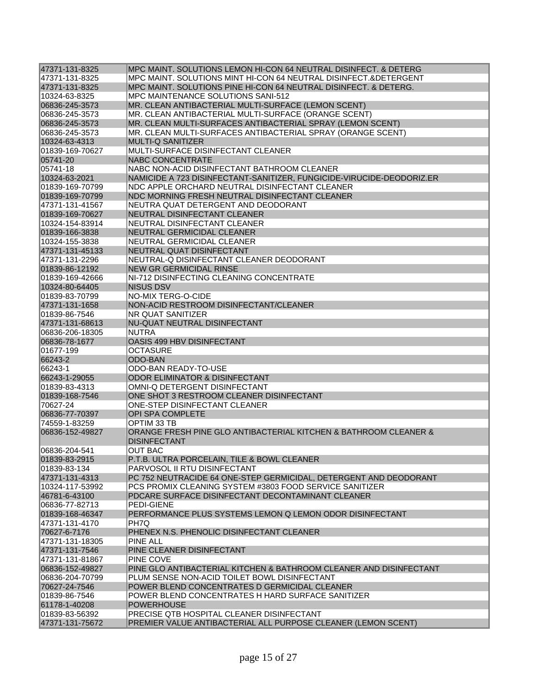| 47371-131-8325  | MPC MAINT. SOLUTIONS LEMON HI-CON 64 NEUTRAL DISINFECT. & DETERG      |
|-----------------|-----------------------------------------------------------------------|
| 47371-131-8325  | MPC MAINT, SOLUTIONS MINT HI-CON 64 NEUTRAL DISINFECT.&DETERGENT      |
| 47371-131-8325  | MPC MAINT. SOLUTIONS PINE HI-CON 64 NEUTRAL DISINFECT. & DETERG.      |
| 10324-63-8325   | MPC MAINTENANCE SOLUTIONS SANI-512                                    |
| 06836-245-3573  | MR. CLEAN ANTIBACTERIAL MULTI-SURFACE (LEMON SCENT)                   |
| 06836-245-3573  | MR. CLEAN ANTIBACTERIAL MULTI-SURFACE (ORANGE SCENT)                  |
| 06836-245-3573  | MR. CLEAN MULTI-SURFACES ANTIBACTERIAL SPRAY (LEMON SCENT)            |
| 06836-245-3573  | MR. CLEAN MULTI-SURFACES ANTIBACTERIAL SPRAY (ORANGE SCENT)           |
| 10324-63-4313   | <b>MULTI-Q SANITIZER</b>                                              |
| 01839-169-70627 | MULTI-SURFACE DISINFECTANT CLEANER                                    |
| 05741-20        | <b>NABC CONCENTRATE</b>                                               |
| 05741-18        | NABC NON-ACID DISINFECTANT BATHROOM CLEANER                           |
| 10324-63-2021   | NAMICIDE A 723 DISINFECTANT-SANITIZER, FUNGICIDE-VIRUCIDE-DEODORIZ.ER |
| 01839-169-70799 | NDC APPLE ORCHARD NEUTRAL DISINFECTANT CLEANER                        |
| 01839-169-70799 | NDC MORNING FRESH NEUTRAL DISINFECTANT CLEANER                        |
| 47371-131-41567 | NEUTRA QUAT DETERGENT AND DEODORANT                                   |
| 01839-169-70627 | NEUTRAL DISINFECTANT CLEANER                                          |
| 10324-154-83914 | NEUTRAL DISINFECTANT CLEANER                                          |
| 01839-166-3838  | NEUTRAL GERMICIDAL CLEANER                                            |
| 10324-155-3838  | NEUTRAL GERMICIDAL CLEANER                                            |
| 47371-131-45133 | NEUTRAL QUAT DISINFECTANT                                             |
| 47371-131-2296  | NEUTRAL-Q DISINFECTANT CLEANER DEODORANT                              |
| 01839-86-12192  | <b>NEW GR GERMICIDAL RINSE</b>                                        |
| 01839-169-42666 | NI-712 DISINFECTING CLEANING CONCENTRATE                              |
| 10324-80-64405  | <b>NISUS DSV</b>                                                      |
| 01839-83-70799  | NO-MIX TERG-O-CIDE                                                    |
| 47371-131-1658  | NON-ACID RESTROOM DISINFECTANT/CLEANER                                |
| 01839-86-7546   | NR QUAT SANITIZER                                                     |
| 47371-131-68613 | NU-QUAT NEUTRAL DISINFECTANT                                          |
| 06836-206-18305 | <b>NUTRA</b>                                                          |
| 06836-78-1677   | OASIS 499 HBV DISINFECTANT                                            |
| 01677-199       | OCTASURE                                                              |
| 66243-2         | <b>ODO-BAN</b>                                                        |
| 66243-1         | <b>ODO-BAN READY-TO-USE</b>                                           |
| 66243-1-29055   | ODOR ELIMINATOR & DISINFECTANT                                        |
| 01839-83-4313   | OMNI-Q DETERGENT DISINFECTANT                                         |
| 01839-168-7546  | ONE SHOT 3 RESTROOM CLEANER DISINFECTANT                              |
| 70627-24        | ONE-STEP DISINFECTANT CLEANER                                         |
| 06836-77-70397  | OPI SPA COMPLETE                                                      |
| 74559-1-83259   | OPTIM 33 TB                                                           |
| 06836-152-49827 | ORANGE FRESH PINE GLO ANTIBACTERIAL KITCHEN & BATHROOM CLEANER &      |
|                 | <b>DISINFECTANT</b>                                                   |
| 06836-204-541   | OUT BAC                                                               |
| 01839-83-2915   | P.T.B. ULTRA PORCELAIN, TILE & BOWL CLEANER                           |
| 01839-83-134    | PARVOSOL II RTU DISINFECTANT                                          |
| 47371-131-4313  | PC 752 NEUTRACIDE 64 ONE-STEP GERMICIDAL, DETERGENT AND DEODORANT     |
| 10324-117-53992 | PCS PROMIX CLEANING SYSTEM #3803 FOOD SERVICE SANITIZER               |
| 46781-6-43100   | PDCARE SURFACE DISINFECTANT DECONTAMINANT CLEANER                     |
| 06836-77-82713  | PEDI-GIENE                                                            |
| 01839-168-46347 | PERFORMANCE PLUS SYSTEMS LEMON Q LEMON ODOR DISINFECTANT              |
| 47371-131-4170  | PH7Q                                                                  |
| 70627-6-7176    | PHENEX N.S. PHENOLIC DISINFECTANT CLEANER                             |
| 47371-131-18305 | <b>PINE ALL</b>                                                       |
| 47371-131-7546  | PINE CLEANER DISINFECTANT                                             |
| 47371-131-81867 | PINE COVE                                                             |
| 06836-152-49827 | PINE GLO ANTIBACTERIAL KITCHEN & BATHROOM CLEANER AND DISINFECTANT    |
| 06836-204-70799 | PLUM SENSE NON-ACID TOILET BOWL DISINFECTANT                          |
| 70627-24-7546   | POWER BLEND CONCENTRATES D GERMICIDAL CLEANER                         |
| 01839-86-7546   | POWER BLEND CONCENTRATES H HARD SURFACE SANITIZER                     |
| 61178-1-40208   | <b>POWERHOUSE</b>                                                     |
| 01839-83-56392  | PRECISE QTB HOSPITAL CLEANER DISINFECTANT                             |
| 47371-131-75672 | PREMIER VALUE ANTIBACTERIAL ALL PURPOSE CLEANER (LEMON SCENT)         |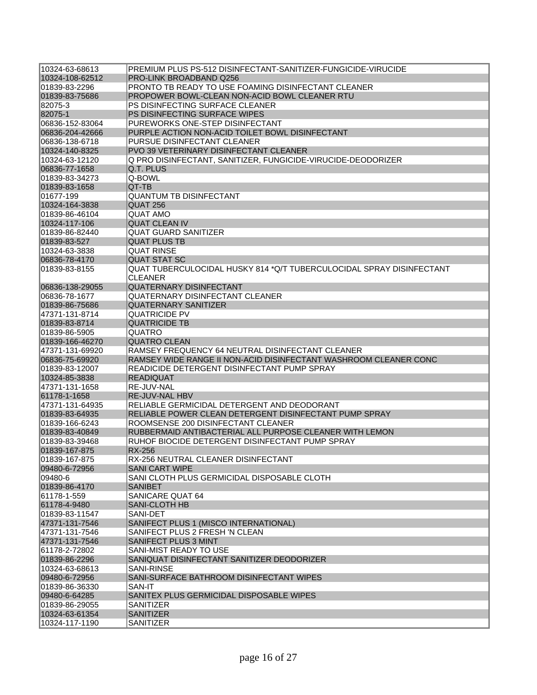| 10324-63-68613  | PREMIUM PLUS PS-512 DISINFECTANT-SANITIZER-FUNGICIDE-VIRUCIDE        |
|-----------------|----------------------------------------------------------------------|
| 10324-108-62512 | PRO-LINK BROADBAND Q256                                              |
| 01839-83-2296   | PRONTO TB READY TO USE FOAMING DISINFECTANT CLEANER                  |
| 01839-83-75686  | PROPOWER BOWL-CLEAN NON-ACID BOWL CLEANER RTU                        |
| 82075-3         | PS DISINFECTING SURFACE CLEANER                                      |
| 82075-1         | PS DISINFECTING SURFACE WIPES                                        |
| 06836-152-83064 | PUREWORKS ONE-STEP DISINFECTANT                                      |
| 06836-204-42666 | PURPLE ACTION NON-ACID TOILET BOWL DISINFECTANT                      |
| 06836-138-6718  | <b>PURSUE DISINFECTANT CLEANER</b>                                   |
| 10324-140-8325  | <b>PVO 39 VETERINARY DISINFECTANT CLEANER</b>                        |
| 10324-63-12120  | Q PRO DISINFECTANT, SANITIZER, FUNGICIDE-VIRUCIDE-DEODORIZER         |
| 06836-77-1658   | Q.T. PLUS                                                            |
| 01839-83-34273  | Q-BOWL                                                               |
| 01839-83-1658   | QT-TB                                                                |
| 01677-199       | <b>QUANTUM TB DISINFECTANT</b>                                       |
| 10324-164-3838  | QUAT 256                                                             |
| 01839-86-46104  | <b>QUAT AMO</b>                                                      |
| 10324-117-106   | <b>QUAT CLEAN IV</b>                                                 |
| 01839-86-82440  | <b>QUAT GUARD SANITIZER</b>                                          |
| 01839-83-527    | <b>QUAT PLUS TB</b>                                                  |
| 10324-63-3838   | <b>QUAT RINSE</b>                                                    |
| 06836-78-4170   | <b>QUAT STAT SC</b>                                                  |
| 01839-83-8155   | QUAT TUBERCULOCIDAL HUSKY 814 *Q/T TUBERCULOCIDAL SPRAY DISINFECTANT |
|                 | <b>CLEANER</b>                                                       |
| 06836-138-29055 | <b>QUATERNARY DISINFECTANT</b>                                       |
| 06836-78-1677   | <b>QUATERNARY DISINFECTANT CLEANER</b>                               |
| 01839-86-75686  | <b>QUATERNARY SANITIZER</b>                                          |
| 47371-131-8714  | <b>QUATRICIDE PV</b>                                                 |
| 01839-83-8714   | <b>QUATRICIDE TB</b>                                                 |
| 01839-86-5905   | <b>QUATRO</b>                                                        |
| 01839-166-46270 | <b>QUATRO CLEAN</b>                                                  |
| 47371-131-69920 | RAMSEY FREQUENCY 64 NEUTRAL DISINFECTANT CLEANER                     |
| 06836-75-69920  | RAMSEY WIDE RANGE II NON-ACID DISINFECTANT WASHROOM CLEANER CONC     |
| 01839-83-12007  | READICIDE DETERGENT DISINFECTANT PUMP SPRAY                          |
| 10324-85-3838   | <b>READIQUAT</b>                                                     |
| 47371-131-1658  | <b>RE-JUV-NAL</b>                                                    |
| 61178-1-1658    | <b>RE-JUV-NAL HBV</b>                                                |
| 47371-131-64935 | RELIABLE GERMICIDAL DETERGENT AND DEODORANT                          |
| 01839-83-64935  | RELIABLE POWER CLEAN DETERGENT DISINFECTANT PUMP SPRAY               |
| 101839-166-6243 | ROOMSENSE 200 DISINFECTANT CLEANER                                   |
| 01839-83-40849  | RUBBERMAID ANTIBACTERIAL ALL PURPOSE CLEANER WITH LEMON              |
| 01839-83-39468  | RUHOF BIOCIDE DETERGENT DISINFECTANT PUMP SPRAY                      |
| 01839-167-875   | <b>RX-256</b>                                                        |
| 01839-167-875   | RX-256 NEUTRAL CLEANER DISINFECTANT                                  |
| 09480-6-72956   | <b>SANI CART WIPE</b>                                                |
| 09480-6         | SANI CLOTH PLUS GERMICIDAL DISPOSABLE CLOTH                          |
| 01839-86-4170   | <b>SANIBET</b>                                                       |
| 61178-1-559     | SANICARE QUAT 64                                                     |
| 61178-4-9480    | <b>SANI-CLOTH HB</b>                                                 |
| 01839-83-11547  | SANI-DET                                                             |
| 47371-131-7546  | SANIFECT PLUS 1 (MISCO INTERNATIONAL)                                |
| 47371-131-7546  | SANIFECT PLUS 2 FRESH 'N CLEAN                                       |
| 47371-131-7546  | <b>SANIFECT PLUS 3 MINT</b>                                          |
| 61178-2-72802   | SANI-MIST READY TO USE                                               |
| 01839-86-2296   | SANIQUAT DISINFECTANT SANITIZER DEODORIZER                           |
| 10324-63-68613  | <b>SANI-RINSE</b>                                                    |
| 09480-6-72956   | SANI-SURFACE BATHROOM DISINFECTANT WIPES                             |
| 01839-86-36330  | SAN-IT                                                               |
| 09480-6-64285   | SANITEX PLUS GERMICIDAL DISPOSABLE WIPES                             |
| 01839-86-29055  | SANITIZER                                                            |
| 10324-63-61354  | <b>SANITIZER</b>                                                     |
| 10324-117-1190  | <b>SANITIZER</b>                                                     |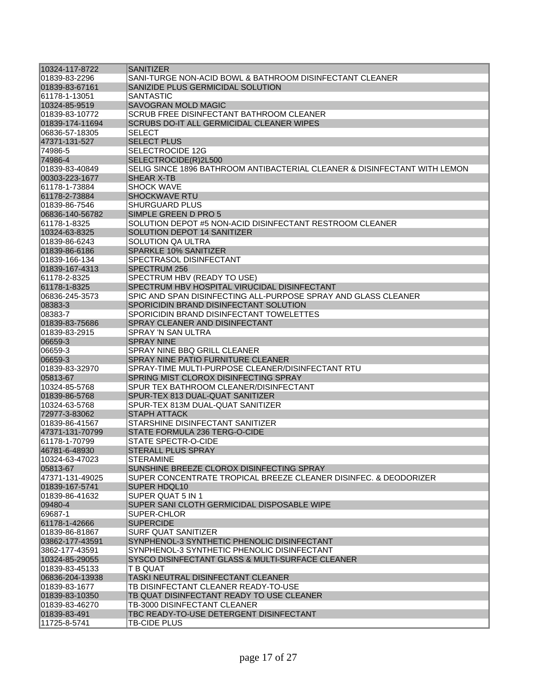| 10324-117-8722  | <b>SANITIZER</b>                                                          |
|-----------------|---------------------------------------------------------------------------|
| 01839-83-2296   | SANI-TURGE NON-ACID BOWL & BATHROOM DISINFECTANT CLEANER                  |
| 01839-83-67161  | SANIZIDE PLUS GERMICIDAL SOLUTION                                         |
| 61178-1-13051   | SANTASTIC                                                                 |
| 10324-85-9519   | <b>SAVOGRAN MOLD MAGIC</b>                                                |
| 01839-83-10772  | SCRUB FREE DISINFECTANT BATHROOM CLEANER                                  |
| 01839-174-11694 | SCRUBS DO-IT ALL GERMICIDAL CLEANER WIPES                                 |
| 06836-57-18305  | <b>SELECT</b>                                                             |
| 47371-131-527   | <b>SELECT PLUS</b>                                                        |
| 74986-5         | <b>SELECTROCIDE 12G</b>                                                   |
| 74986-4         | SELECTROCIDE(R)2L500                                                      |
| 01839-83-40849  | SELIG SINCE 1896 BATHROOM ANTIBACTERIAL CLEANER & DISINFECTANT WITH LEMON |
| 00303-223-1677  | SHEAR X-TB                                                                |
| 61178-1-73884   | <b>SHOCK WAVE</b>                                                         |
| 61178-2-73884   | <b>SHOCKWAVE RTU</b>                                                      |
| 01839-86-7546   | <b>SHURGUARD PLUS</b>                                                     |
| 06836-140-56782 | SIMPLE GREEN D PRO 5                                                      |
| 61178-1-8325    | SOLUTION DEPOT #5 NON-ACID DISINFECTANT RESTROOM CLEANER                  |
| 10324-63-8325   | SOLUTION DEPOT 14 SANITIZER                                               |
| 01839-86-6243   | SOLUTION QA ULTRA                                                         |
| 01839-86-6186   | <b>SPARKLE 10% SANITIZER</b>                                              |
| 01839-166-134   | SPECTRASOL DISINFECTANT                                                   |
| 01839-167-4313  | SPECTRUM 256                                                              |
| 61178-2-8325    | SPECTRUM HBV (READY TO USE)                                               |
| 61178-1-8325    | SPECTRUM HBV HOSPITAL VIRUCIDAL DISINFECTANT                              |
| 06836-245-3573  | SPIC AND SPAN DISINFECTING ALL-PURPOSE SPRAY AND GLASS CLEANER            |
| 08383-3         | SPORICIDIN BRAND DISINFECTANT SOLUTION                                    |
| 08383-7         | SPORICIDIN BRAND DISINFECTANT TOWELETTES                                  |
| 01839-83-75686  | SPRAY CLEANER AND DISINFECTANT                                            |
| 101839-83-2915  | SPRAY 'N SAN ULTRA                                                        |
| 06659-3         | <b>SPRAY NINE</b>                                                         |
| 06659-3         | SPRAY NINE BBQ GRILL CLEANER                                              |
| 06659-3         | SPRAY NINE PATIO FURNITURE CLEANER                                        |
| 01839-83-32970  | SPRAY-TIME MULTI-PURPOSE CLEANER/DISINFECTANT RTU                         |
| 05813-67        | SPRING MIST CLOROX DISINFECTING SPRAY                                     |
| 10324-85-5768   | SPUR TEX BATHROOM CLEANER/DISINFECTANT                                    |
| 01839-86-5768   | SPUR-TEX 813 DUAL-QUAT SANITIZER                                          |
| 10324-63-5768   | SPUR-TEX 813M DUAL-QUAT SANITIZER                                         |
| 72977-3-83062   | <b>STAPH ATTACK</b>                                                       |
| 01839-86-41567  | STARSHINE DISINFECTANT SANITIZER                                          |
| 47371-131-70799 | STATE FORMULA 236 TERG-O-CIDE                                             |
| 61178-1-70799   | <b>STATE SPECTR-O-CIDE</b>                                                |
| 46781-6-48930   | STERALL PLUS SPRAY                                                        |
| 10324-63-47023  | <b>STERAMINE</b>                                                          |
| 05813-67        | SUNSHINE BREEZE CLOROX DISINFECTING SPRAY                                 |
| 47371-131-49025 | SUPER CONCENTRATE TROPICAL BREEZE CLEANER DISINFEC. & DEODORIZER          |
| 01839-167-5741  | <b>SUPER HDQL10</b>                                                       |
| 01839-86-41632  | SUPER QUAT 5 IN 1                                                         |
| 09480-4         | SUPER SANI CLOTH GERMICIDAL DISPOSABLE WIPE                               |
| 69687-1         | SUPER-CHLOR                                                               |
| 61178-1-42666   | <b>SUPERCIDE</b>                                                          |
| 01839-86-81867  | <b>SURF QUAT SANITIZER</b>                                                |
| 03862-177-43591 | SYNPHENOL-3 SYNTHETIC PHENOLIC DISINFECTANT                               |
| 3862-177-43591  | SYNPHENOL-3 SYNTHETIC PHENOLIC DISINFECTANT                               |
| 10324-85-29055  | SYSCO DISINFECTANT GLASS & MULTI-SURFACE CLEANER                          |
| 01839-83-45133  | T B QUAT                                                                  |
| 06836-204-13938 | TASKI NEUTRAL DISINFECTANT CLEANER                                        |
| 01839-83-1677   | TB DISINFECTANT CLEANER READY-TO-USE                                      |
| 01839-83-10350  | TB QUAT DISINFECTANT READY TO USE CLEANER                                 |
| 01839-83-46270  | TB-3000 DISINFECTANT CLEANER                                              |
| 01839-83-491    | TBC READY-TO-USE DETERGENT DISINFECTANT                                   |
| 11725-8-5741    | TB-CIDE PLUS                                                              |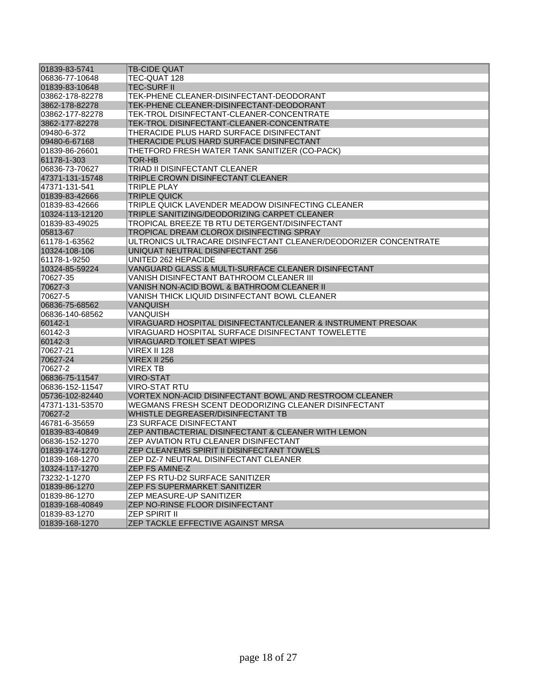| 01839-83-5741   | <b>TB-CIDE QUAT</b>                                             |
|-----------------|-----------------------------------------------------------------|
| 06836-77-10648  | TEC-QUAT 128                                                    |
| 01839-83-10648  | <b>TEC-SURF II</b>                                              |
| 03862-178-82278 | TEK-PHENE CLEANER-DISINFECTANT-DEODORANT                        |
| 3862-178-82278  | TEK-PHENE CLEANER-DISINFECTANT-DEODORANT                        |
| 03862-177-82278 | TEK-TROL DISINFECTANT-CLEANER-CONCENTRATE                       |
| 3862-177-82278  | TEK-TROL DISINFECTANT-CLEANER-CONCENTRATE                       |
| 09480-6-372     | THERACIDE PLUS HARD SURFACE DISINFECTANT                        |
| 09480-6-67168   | THERACIDE PLUS HARD SURFACE DISINFECTANT                        |
| 01839-86-26601  | THETFORD FRESH WATER TANK SANITIZER (CO-PACK)                   |
| 61178-1-303     | <b>TOR-HB</b>                                                   |
| 06836-73-70627  | TRIAD II DISINFECTANT CLEANER                                   |
| 47371-131-15748 | TRIPLE CROWN DISINFECTANT CLEANER                               |
| 47371-131-541   | TRIPLE PLAY                                                     |
| 01839-83-42666  | <b>TRIPLE QUICK</b>                                             |
| 01839-83-42666  | TRIPLE QUICK LAVENDER MEADOW DISINFECTING CLEANER               |
| 10324-113-12120 | TRIPLE SANITIZING/DEODORIZING CARPET CLEANER                    |
| 01839-83-49025  | TROPICAL BREEZE TB RTU DETERGENT/DISINFECTANT                   |
| 05813-67        | TROPICAL DREAM CLOROX DISINFECTING SPRAY                        |
| 61178-1-63562   | ULTRONICS ULTRACARE DISINFECTANT CLEANER/DEODORIZER CONCENTRATE |
| 10324-108-106   | UNIQUAT NEUTRAL DISINFECTANT 256                                |
| 61178-1-9250    | UNITED 262 HEPACIDE                                             |
| 10324-85-59224  | VANGUARD GLASS & MULTI-SURFACE CLEANER DISINFECTANT             |
| 70627-35        | VANISH DISINFECTANT BATHROOM CLEANER III                        |
| 70627-3         | VANISH NON-ACID BOWL & BATHROOM CLEANER II                      |
| 70627-5         | VANISH THICK LIQUID DISINFECTANT BOWL CLEANER                   |
| 06836-75-68562  | <b>VANQUISH</b>                                                 |
| 06836-140-68562 | VANQUISH                                                        |
| 60142-1         | VIRAGUARD HOSPITAL DISINFECTANT/CLEANER & INSTRUMENT PRESOAK    |
| 60142-3         | VIRAGUARD HOSPITAL SURFACE DISINFECTANT TOWELETTE               |
| 60142-3         | <b>VIRAGUARD TOILET SEAT WIPES</b>                              |
| 70627-21        | <b>VIREX II 128</b>                                             |
| 70627-24        | <b>VIREX II 256</b>                                             |
| 70627-2         | <b>VIREX TB</b>                                                 |
| 06836-75-11547  | <b>VIRO-STAT</b>                                                |
| 06836-152-11547 | VIRO-STAT RTU                                                   |
| 05736-102-82440 | VORTEX NON-ACID DISINFECTANT BOWL AND RESTROOM CLEANER          |
| 47371-131-53570 | WEGMANS FRESH SCENT DEODORIZING CLEANER DISINFECTANT            |
| 70627-2         | WHISTLE DEGREASER/DISINFECTANT TB                               |
| 46781-6-35659   | <b>Z3 SURFACE DISINFECTANT</b>                                  |
| 01839-83-40849  | ZEP ANTIBACTERIAL DISINFECTANT & CLEANER WITH LEMON             |
| 06836-152-1270  | <b>ZEP AVIATION RTU CLEANER DISINFECTANT</b>                    |
| 01839-174-1270  | ZEP CLEAN'EMS SPIRIT II DISINFECTANT TOWELS                     |
| 01839-168-1270  | ZEP DZ-7 NEUTRAL DISINFECTANT CLEANER                           |
| 10324-117-1270  | ZEP FS AMINE-Z                                                  |
| 73232-1-1270    | ZEP FS RTU-D2 SURFACE SANITIZER                                 |
| 01839-86-1270   | <b>ZEP FS SUPERMARKET SANITIZER</b>                             |
| 01839-86-1270   | ZEP MEASURE-UP SANITIZER                                        |
| 01839-168-40849 | ZEP NO-RINSE FLOOR DISINFECTANT                                 |
|                 | <b>ZEP SPIRIT II</b>                                            |
| 01839-83-1270   | ZEP TACKLE EFFECTIVE AGAINST MRSA                               |
| 01839-168-1270  |                                                                 |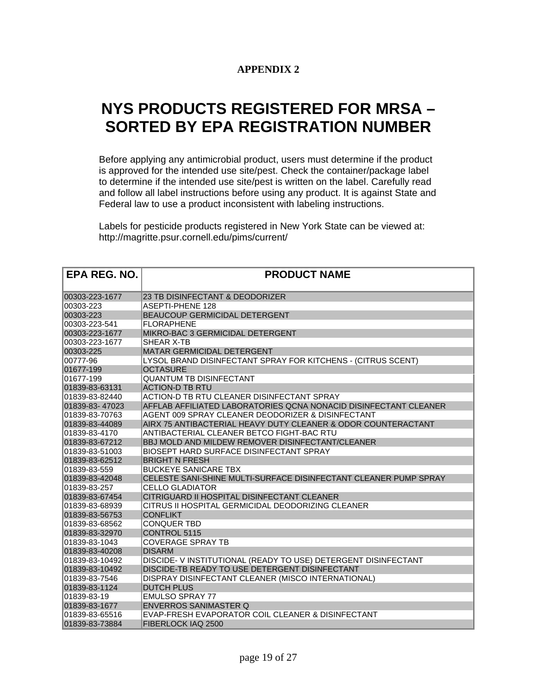## **APPENDIX 2**

# **NYS PRODUCTS REGISTERED FOR MRSA – SORTED BY EPA REGISTRATION NUMBER**

Before applying any antimicrobial product, users must determine if the product is approved for the intended use site/pest. Check the container/package label to determine if the intended use site/pest is written on the label. Carefully read and follow all label instructions before using any product. It is against State and Federal law to use a product inconsistent with labeling instructions.

Labels for pesticide products registered in New York State can be viewed at: http://magritte.psur.cornell.edu/pims/current/

| <b>EPA REG. NO.</b> | <b>PRODUCT NAME</b>                                              |
|---------------------|------------------------------------------------------------------|
| 00303-223-1677      | 23 TB DISINFECTANT & DEODORIZER                                  |
| 00303-223           | <b>ASEPTI-PHENE 128</b>                                          |
| 00303-223           | <b>BEAUCOUP GERMICIDAL DETERGENT</b>                             |
| 00303-223-541       | <b>FLORAPHENE</b>                                                |
| 00303-223-1677      | MIKRO-BAC 3 GERMICIDAL DETERGENT                                 |
| 00303-223-1677      | SHEAR X-TB                                                       |
| 00303-225           | MATAR GERMICIDAL DETERGENT                                       |
| 00777-96            | LYSOL BRAND DISINFECTANT SPRAY FOR KITCHENS - (CITRUS SCENT)     |
| 01677-199           | <b>OCTASURE</b>                                                  |
| 01677-199           | <b>QUANTUM TB DISINFECTANT</b>                                   |
| 01839-83-63131      | <b>ACTION-D TB RTU</b>                                           |
| 01839-83-82440      | ACTION-D TB RTU CLEANER DISINFECTANT SPRAY                       |
| 01839-83-47023      | AFFLAB AFFILIATED LABORATORIES QCNA NONACID DISINFECTANT CLEANER |
| 01839-83-70763      | AGENT 009 SPRAY CLEANER DEODORIZER & DISINFECTANT                |
| 01839-83-44089      | AIRX 75 ANTIBACTERIAL HEAVY DUTY CLEANER & ODOR COUNTERACTANT    |
| 01839-83-4170       | ANTIBACTERIAL CLEANER BETCO FIGHT-BAC RTU                        |
| 01839-83-67212      | BBJ MOLD AND MILDEW REMOVER DISINFECTANT/CLEANER                 |
| 01839-83-51003      | BIOSEPT HARD SURFACE DISINFECTANT SPRAY                          |
| 01839-83-62512      | <b>BRIGHT N FRESH</b>                                            |
| 01839-83-559        | <b>BUCKEYE SANICARE TBX</b>                                      |
| 01839-83-42048      | CELESTE SANI-SHINE MULTI-SURFACE DISINFECTANT CLEANER PUMP SPRAY |
| 01839-83-257        | CELLO GLADIATOR                                                  |
| 01839-83-67454      | CITRIGUARD II HOSPITAL DISINFECTANT CLEANER                      |
| 01839-83-68939      | CITRUS II HOSPITAL GERMICIDAL DEODORIZING CLEANER                |
| 01839-83-56753      | <b>CONFLIKT</b>                                                  |
| 01839-83-68562      | <b>CONQUER TBD</b>                                               |
| 01839-83-32970      | <b>CONTROL 5115</b>                                              |
| 01839-83-1043       | <b>COVERAGE SPRAY TB</b>                                         |
| 01839-83-40208      | <b>DISARM</b>                                                    |
| 01839-83-10492      | DISCIDE- V INSTITUTIONAL (READY TO USE) DETERGENT DISINFECTANT   |
| 01839-83-10492      | DISCIDE-TB READY TO USE DETERGENT DISINFECTANT                   |
| 01839-83-7546       | DISPRAY DISINFECTANT CLEANER (MISCO INTERNATIONAL)               |
| 01839-83-1124       | <b>DUTCH PLUS</b>                                                |
| 01839-83-19         | <b>EMULSO SPRAY 77</b>                                           |
| 01839-83-1677       | <b>ENVERROS SANIMASTER Q</b>                                     |
| 01839-83-65516      | EVAP-FRESH EVAPORATOR COIL CLEANER & DISINFECTANT                |
| 01839-83-73884      | FIBERLOCK IAQ 2500                                               |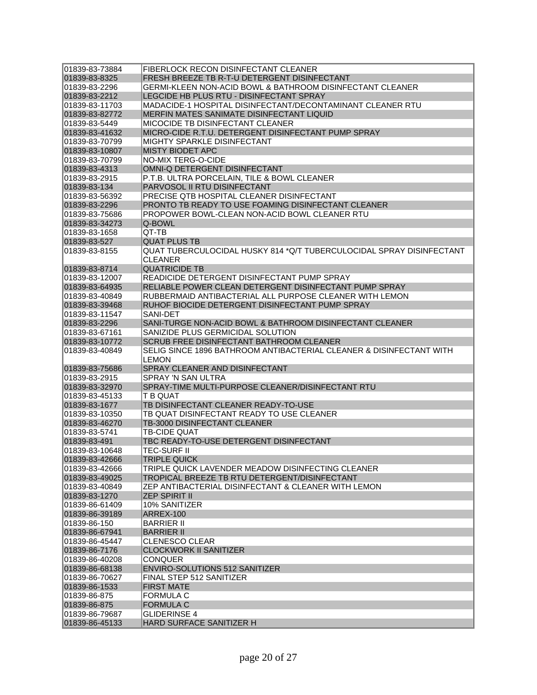| 01839-83-73884                  | FIBERLOCK RECON DISINFECTANT CLEANER                                      |
|---------------------------------|---------------------------------------------------------------------------|
| 01839-83-8325                   | FRESH BREEZE TB R-T-U DETERGENT DISINFECTANT                              |
| 01839-83-2296                   | <b>GERMI-KLEEN NON-ACID BOWL &amp; BATHROOM DISINFECTANT CLEANER</b>      |
| 01839-83-2212                   | LEGCIDE HB PLUS RTU - DISINFECTANT SPRAY                                  |
| 01839-83-11703                  | MADACIDE-1 HOSPITAL DISINFECTANT/DECONTAMINANT CLEANER RTU                |
| 01839-83-82772                  | MERFIN MATES SANIMATE DISINFECTANT LIQUID                                 |
| 01839-83-5449                   | MICOCIDE TB DISINFECTANT CLEANER                                          |
| 01839-83-41632                  | MICRO-CIDE R.T.U. DETERGENT DISINFECTANT PUMP SPRAY                       |
| 01839-83-70799                  | <b>MIGHTY SPARKLE DISINFECTANT</b>                                        |
| 01839-83-10807                  | <b>MISTY BIODET APC</b>                                                   |
| 01839-83-70799                  | <b>NO-MIX TERG-O-CIDE</b>                                                 |
| 01839-83-4313                   | OMNI-Q DETERGENT DISINFECTANT                                             |
| 01839-83-2915                   | P.T.B. ULTRA PORCELAIN, TILE & BOWL CLEANER                               |
| 01839-83-134                    | PARVOSOL II RTU DISINFECTANT                                              |
| 01839-83-56392                  | PRECISE QTB HOSPITAL CLEANER DISINFECTANT                                 |
| 01839-83-2296                   | PRONTO TB READY TO USE FOAMING DISINFECTANT CLEANER                       |
| 01839-83-75686                  | <b>PROPOWER BOWL-CLEAN NON-ACID BOWL CLEANER RTU</b>                      |
| 01839-83-34273                  | Q-BOWL                                                                    |
| 01839-83-1658                   | QT-TB                                                                     |
| 01839-83-527                    | <b>QUAT PLUS TB</b>                                                       |
| 01839-83-8155                   | QUAT TUBERCULOCIDAL HUSKY 814 *Q/T TUBERCULOCIDAL SPRAY DISINFECTANT      |
|                                 | CLEANER                                                                   |
| 01839-83-8714                   | <b>QUATRICIDE TB</b>                                                      |
| 01839-83-12007                  | READICIDE DETERGENT DISINFECTANT PUMP SPRAY                               |
| 01839-83-64935                  | RELIABLE POWER CLEAN DETERGENT DISINFECTANT PUMP SPRAY                    |
| 01839-83-40849                  | RUBBERMAID ANTIBACTERIAL ALL PURPOSE CLEANER WITH LEMON                   |
| 01839-83-39468                  | RUHOF BIOCIDE DETERGENT DISINFECTANT PUMP SPRAY                           |
| 01839-83-11547                  | SANI-DET                                                                  |
| 01839-83-2296                   | SANI-TURGE NON-ACID BOWL & BATHROOM DISINFECTANT CLEANER                  |
| 01839-83-67161                  | SANIZIDE PLUS GERMICIDAL SOLUTION                                         |
| 01839-83-10772                  | <b>SCRUB FREE DISINFECTANT BATHROOM CLEANER</b>                           |
| 01839-83-40849                  | SELIG SINCE 1896 BATHROOM ANTIBACTERIAL CLEANER & DISINFECTANT WITH       |
|                                 | <b>LEMON</b>                                                              |
| 01839-83-75686                  | SPRAY CLEANER AND DISINFECTANT                                            |
| 01839-83-2915                   |                                                                           |
| 01839-83-32970                  | SPRAY 'N SAN ULTRA<br>SPRAY-TIME MULTI-PURPOSE CLEANER/DISINFECTANT RTU   |
|                                 |                                                                           |
| 01839-83-45133<br>01839-83-1677 | T B QUAT<br>TB DISINFECTANT CLEANER READY-TO-USE                          |
| 01839-83-10350                  |                                                                           |
| 01839-83-46270                  | TB QUAT DISINFECTANT READY TO USE CLEANER<br>TB-3000 DISINFECTANT CLEANER |
|                                 |                                                                           |
| 01839-83-5741                   | TB-CIDE QUAT                                                              |
| 01839-83-491                    | TBC READY-TO-USE DETERGENT DISINFECTANT                                   |
| 01839-83-10648                  | TEC-SURF II                                                               |
| 01839-83-42666                  | <b>TRIPLE QUICK</b>                                                       |
| 01839-83-42666                  | TRIPLE QUICK LAVENDER MEADOW DISINFECTING CLEANER                         |
| 01839-83-49025                  | TROPICAL BREEZE TB RTU DETERGENT/DISINFECTANT                             |
| 01839-83-40849                  | ZEP ANTIBACTERIAL DISINFECTANT & CLEANER WITH LEMON                       |
| 01839-83-1270                   | <b>ZEP SPIRIT II</b>                                                      |
| 01839-86-61409                  | 10% SANITIZER                                                             |
| 01839-86-39189                  | ARREX-100                                                                 |
| 01839-86-150                    | <b>BARRIER II</b>                                                         |
| 01839-86-67941                  | <b>BARRIER II</b>                                                         |
| 01839-86-45447                  | <b>CLENESCO CLEAR</b>                                                     |
| 01839-86-7176                   | <b>CLOCKWORK II SANITIZER</b>                                             |
| 01839-86-40208                  | <b>CONQUER</b>                                                            |
| 01839-86-68138                  | <b>ENVIRO-SOLUTIONS 512 SANITIZER</b>                                     |
| 01839-86-70627                  | FINAL STEP 512 SANITIZER                                                  |
| 01839-86-1533                   | <b>FIRST MATE</b>                                                         |
| 01839-86-875                    | <b>FORMULA C</b>                                                          |
| 01839-86-875                    | <b>FORMULA C</b>                                                          |
| 01839-86-79687                  | GLIDERINSE 4                                                              |
| 01839-86-45133                  | HARD SURFACE SANITIZER H                                                  |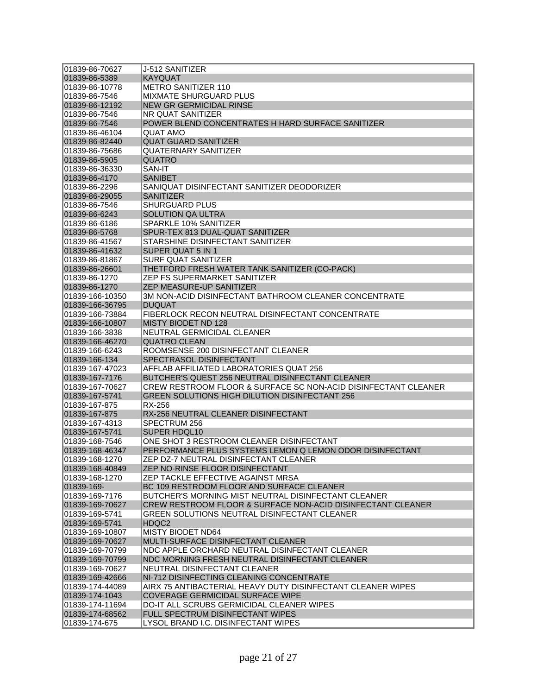| 01839-86-70627   | J-512 SANITIZER                                                |
|------------------|----------------------------------------------------------------|
| 01839-86-5389    | <b>KAYQUAT</b>                                                 |
| 01839-86-10778   | <b>METRO SANITIZER 110</b>                                     |
| 01839-86-7546    | <b>MIXMATE SHURGUARD PLUS</b>                                  |
| 01839-86-12192   | <b>NEW GR GERMICIDAL RINSE</b>                                 |
| 01839-86-7546    | NR QUAT SANITIZER                                              |
| 01839-86-7546    | POWER BLEND CONCENTRATES H HARD SURFACE SANITIZER              |
| 01839-86-46104   | QUAT AMO                                                       |
| 01839-86-82440   | <b>QUAT GUARD SANITIZER</b>                                    |
| 01839-86-75686   | <b>QUATERNARY SANITIZER</b>                                    |
| 01839-86-5905    | QUATRO                                                         |
| 01839-86-36330   | SAN-IT                                                         |
| 01839-86-4170    | <b>SANIBET</b>                                                 |
| 01839-86-2296    | SANIQUAT DISINFECTANT SANITIZER DEODORIZER                     |
| 01839-86-29055   | <b>SANITIZER</b>                                               |
| 01839-86-7546    | <b>SHURGUARD PLUS</b>                                          |
|                  | <b>SOLUTION QA ULTRA</b>                                       |
| 01839-86-6243    |                                                                |
| 01839-86-6186    | SPARKLE 10% SANITIZER                                          |
| 01839-86-5768    | SPUR-TEX 813 DUAL-QUAT SANITIZER                               |
| 01839-86-41567   | STARSHINE DISINFECTANT SANITIZER                               |
| 01839-86-41632   | SUPER QUAT 5 IN 1                                              |
| 01839-86-81867   | SURF QUAT SANITIZER                                            |
| 01839-86-26601   | THETFORD FRESH WATER TANK SANITIZER (CO-PACK)                  |
| 01839-86-1270    | ZEP FS SUPERMARKET SANITIZER                                   |
| 01839-86-1270    | <b>ZEP MEASURE-UP SANITIZER</b>                                |
| 01839-166-10350  | 3M NON-ACID DISINFECTANT BATHROOM CLEANER CONCENTRATE          |
| 01839-166-36795  | <b>DUQUAT</b>                                                  |
| 01839-166-73884  | FIBERLOCK RECON NEUTRAL DISINFECTANT CONCENTRATE               |
| 01839-166-10807  | MISTY BIODET ND 128                                            |
| 01839-166-3838   | NEUTRAL GERMICIDAL CLEANER                                     |
| 01839-166-46270  | <b>QUATRO CLEAN</b>                                            |
| 01839-166-6243   | ROOMSENSE 200 DISINFECTANT CLEANER                             |
| 01839-166-134    | SPECTRASOL DISINFECTANT                                        |
| 01839-167-47023  | AFFLAB AFFILIATED LABORATORIES QUAT 256                        |
| 01839-167-7176   | BUTCHER'S QUEST 256 NEUTRAL DISINFECTANT CLEANER               |
| 01839-167-70627  | CREW RESTROOM FLOOR & SURFACE SC NON-ACID DISINFECTANT CLEANER |
| 01839-167-5741   | GREEN SOLUTIONS HIGH DILUTION DISINFECTANT 256                 |
| 01839-167-875    | RX-256                                                         |
| 01839-167-875    | RX-256 NEUTRAL CLEANER DISINFECTANT                            |
| 01839-167-4313   | SPECTRUM 256                                                   |
| 01839-167-5741   | <b>SUPER HDQL10</b>                                            |
| 01839-168-7546   | ONE SHOT 3 RESTROOM CLEANER DISINFECTANT                       |
| 01839-168-46347  | PERFORMANCE PLUS SYSTEMS LEMON Q LEMON ODOR DISINFECTANT       |
| 01839-168-1270   | ZEP DZ-7 NEUTRAL DISINFECTANT CLEANER                          |
| 01839-168-40849  | ZEP NO-RINSE FLOOR DISINFECTANT                                |
| 101839-168-1270  | ZEP TACKLE EFFECTIVE AGAINST MRSA                              |
| 01839-169-       | BC 109 RESTROOM FLOOR AND SURFACE CLEANER                      |
| 01839-169-7176   | BUTCHER'S MORNING MIST NEUTRAL DISINFECTANT CLEANER            |
| 01839-169-70627  | CREW RESTROOM FLOOR & SURFACE NON-ACID DISINFECTANT CLEANER    |
| 01839-169-5741   | GREEN SOLUTIONS NEUTRAL DISINFECTANT CLEANER                   |
| 01839-169-5741   | HDQC2                                                          |
| 01839-169-10807  | MISTY BIODET ND64                                              |
| 01839-169-70627  | MULTI-SURFACE DISINFECTANT CLEANER                             |
| 01839-169-70799  | NDC APPLE ORCHARD NEUTRAL DISINFECTANT CLEANER                 |
| 01839-169-70799  | NDC MORNING FRESH NEUTRAL DISINFECTANT CLEANER                 |
| 01839-169-70627  | NEUTRAL DISINFECTANT CLEANER                                   |
| 01839-169-42666  | NI-712 DISINFECTING CLEANING CONCENTRATE                       |
| 01839-174-44089  | AIRX 75 ANTIBACTERIAL HEAVY DUTY DISINFECTANT CLEANER WIPES    |
| 01839-174-1043   | COVERAGE GERMICIDAL SURFACE WIPE                               |
|                  | <b>DO-IT ALL SCRUBS GERMICIDAL CLEANER WIPES</b>               |
| l01839-174-11694 |                                                                |
| 01839-174-68562  | FULL SPECTRUM DISINFECTANT WIPES                               |
| 01839-174-675    | LYSOL BRAND I.C. DISINFECTANT WIPES                            |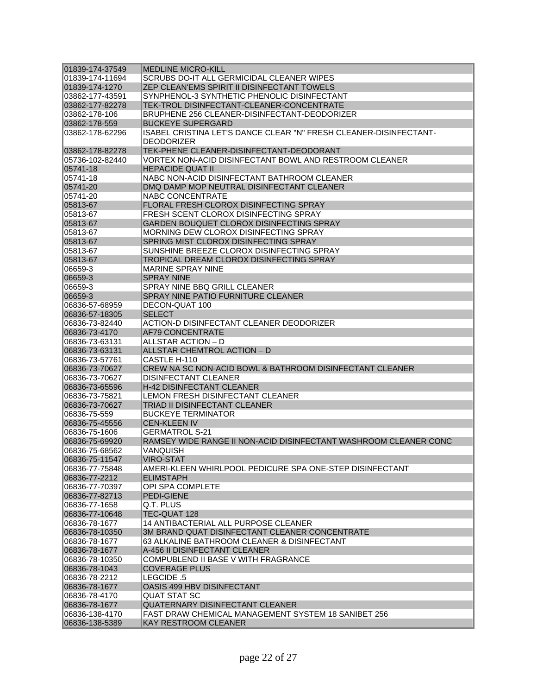| 01839-174-37549 | <b>MEDLINE MICRO-KILL</b>                                         |
|-----------------|-------------------------------------------------------------------|
| 01839-174-11694 | SCRUBS DO-IT ALL GERMICIDAL CLEANER WIPES                         |
| 01839-174-1270  | <b>ZEP CLEAN'EMS SPIRIT II DISINFECTANT TOWELS</b>                |
| 03862-177-43591 | SYNPHENOL-3 SYNTHETIC PHENOLIC DISINFECTANT                       |
| 03862-177-82278 | TEK-TROL DISINFECTANT-CLEANER-CONCENTRATE                         |
| 03862-178-106   | BRUPHENE 256 CLEANER-DISINFECTANT-DEODORIZER                      |
| 03862-178-559   | <b>BUCKEYE SUPERGARD</b>                                          |
| 03862-178-62296 | ISABEL CRISTINA LET'S DANCE CLEAR "N" FRESH CLEANER-DISINFECTANT- |
|                 | <b>DEODORIZER</b>                                                 |
| 03862-178-82278 | TEK-PHENE CLEANER-DISINFECTANT-DEODORANT                          |
| 05736-102-82440 | VORTEX NON-ACID DISINFECTANT BOWL AND RESTROOM CLEANER            |
| 05741-18        | <b>HEPACIDE QUAT II</b>                                           |
| 05741-18        | NABC NON-ACID DISINFECTANT BATHROOM CLEANER                       |
| 05741-20        | DMQ DAMP MOP NEUTRAL DISINFECTANT CLEANER                         |
| 05741-20        | NABC CONCENTRATE                                                  |
| 05813-67        | FLORAL FRESH CLOROX DISINFECTING SPRAY                            |
| 05813-67        | <b>FRESH SCENT CLOROX DISINFECTING SPRAY</b>                      |
| 05813-67        | GARDEN BOUQUET CLOROX DISINFECTING SPRAY                          |
|                 | MORNING DEW CLOROX DISINFECTING SPRAY                             |
| 05813-67        |                                                                   |
| 05813-67        | SPRING MIST CLOROX DISINFECTING SPRAY                             |
| 05813-67        | SUNSHINE BREEZE CLOROX DISINFECTING SPRAY                         |
| 05813-67        | TROPICAL DREAM CLOROX DISINFECTING SPRAY                          |
| 06659-3         | MARINE SPRAY NINE                                                 |
| 06659-3         | <b>SPRAY NINE</b>                                                 |
| 06659-3         | SPRAY NINE BBQ GRILL CLEANER                                      |
| 06659-3         | SPRAY NINE PATIO FURNITURE CLEANER                                |
| 06836-57-68959  | DECON-QUAT 100                                                    |
| 06836-57-18305  | <b>SELECT</b>                                                     |
| 06836-73-82440  | ACTION-D DISINFECTANT CLEANER DEODORIZER                          |
| 06836-73-4170   | <b>AF79 CONCENTRATE</b>                                           |
| 06836-73-63131  | ALLSTAR ACTION - D                                                |
| 06836-73-63131  | ALLSTAR CHEMTROL ACTION - D                                       |
| 06836-73-57761  | CASTLE H-110                                                      |
| 06836-73-70627  | CREW NA SC NON-ACID BOWL & BATHROOM DISINFECTANT CLEANER          |
| 06836-73-70627  | <b>DISINFECTANT CLEANER</b>                                       |
| 06836-73-65596  | <b>H-42 DISINFECTANT CLEANER</b>                                  |
| 06836-73-75821  | LEMON FRESH DISINFECTANT CLEANER                                  |
| 06836-73-70627  | TRIAD II DISINFECTANT CLEANER                                     |
| 06836-75-559    | BUCKEYE TERMINATOR                                                |
| 06836-75-45556  | <b>CEN-KLEEN IV</b>                                               |
| 06836-75-1606   | GERMATROL S-21                                                    |
| 06836-75-69920  | RAMSEY WIDE RANGE II NON-ACID DISINFECTANT WASHROOM CLEANER CONC  |
| 06836-75-68562  | VANQUISH                                                          |
| 06836-75-11547  | <b>VIRO-STAT</b>                                                  |
| 06836-77-75848  | AMERI-KLEEN WHIRLPOOL PEDICURE SPA ONE-STEP DISINFECTANT          |
| 06836-77-2212   | <b>ELIMSTAPH</b>                                                  |
| 06836-77-70397  | <b>OPI SPA COMPLETE</b>                                           |
| 06836-77-82713  | <b>PEDI-GIENE</b>                                                 |
| 06836-77-1658   | Q.T. PLUS                                                         |
| 06836-77-10648  | TEC-QUAT 128                                                      |
| 06836-78-1677   | 14 ANTIBACTERIAL ALL PURPOSE CLEANER                              |
| 06836-78-10350  | 3M BRAND QUAT DISINFECTANT CLEANER CONCENTRATE                    |
| 06836-78-1677   | 63 ALKALINE BATHROOM CLEANER & DISINFECTANT                       |
| 06836-78-1677   | A-456 II DISINFECTANT CLEANER                                     |
| 06836-78-10350  | COMPUBLEND II BASE V WITH FRAGRANCE                               |
| 06836-78-1043   | <b>COVERAGE PLUS</b>                                              |
|                 |                                                                   |
| 06836-78-2212   | LEGCIDE .5                                                        |
| 06836-78-1677   | OASIS 499 HBV DISINFECTANT                                        |
| 06836-78-4170   | QUAT STAT SC                                                      |
| 06836-78-1677   | QUATERNARY DISINFECTANT CLEANER                                   |
| 06836-138-4170  | FAST DRAW CHEMICAL MANAGEMENT SYSTEM 18 SANIBET 256               |
| 06836-138-5389  | <b>KAY RESTROOM CLEANER</b>                                       |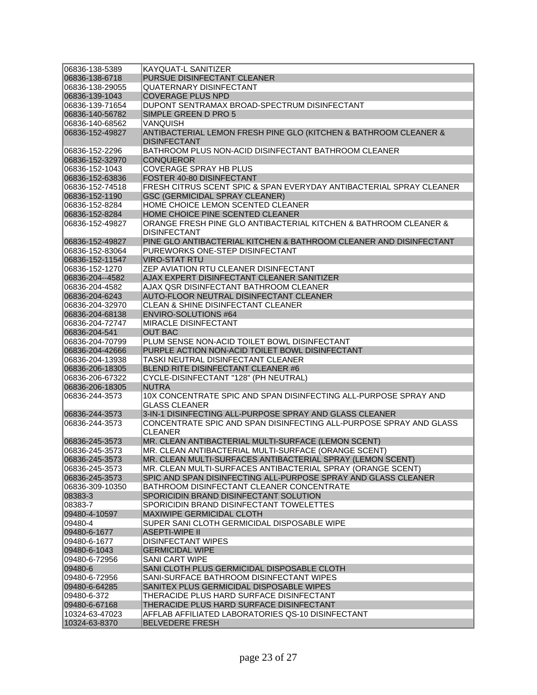| 06836-138-5389  | <b>KAYQUAT-L SANITIZER</b>                                          |
|-----------------|---------------------------------------------------------------------|
| 06836-138-6718  | PURSUE DISINFECTANT CLEANER                                         |
| 06836-138-29055 | <b>QUATERNARY DISINFECTANT</b>                                      |
| 06836-139-1043  | <b>COVERAGE PLUS NPD</b>                                            |
| 06836-139-71654 | DUPONT SENTRAMAX BROAD-SPECTRUM DISINFECTANT                        |
| 06836-140-56782 | SIMPLE GREEN D PRO 5                                                |
| 06836-140-68562 | VANOUISH                                                            |
| 06836-152-49827 | ANTIBACTERIAL LEMON FRESH PINE GLO (KITCHEN & BATHROOM CLEANER &    |
|                 | <b>DISINFECTANT</b>                                                 |
| 06836-152-2296  | BATHROOM PLUS NON-ACID DISINFECTANT BATHROOM CLEANER                |
| 06836-152-32970 | <b>CONQUEROR</b>                                                    |
| 06836-152-1043  | <b>COVERAGE SPRAY HB PLUS</b>                                       |
| 06836-152-63836 | FOSTER 40-80 DISINFECTANT                                           |
|                 |                                                                     |
| 06836-152-74518 | FRESH CITRUS SCENT SPIC & SPAN EVERYDAY ANTIBACTERIAL SPRAY CLEANER |
| 06836-152-1190  | <b>GSC (GERMICIDAL SPRAY CLEANER)</b>                               |
| 06836-152-8284  | HOME CHOICE LEMON SCENTED CLEANER                                   |
| 06836-152-8284  | HOME CHOICE PINE SCENTED CLEANER                                    |
| 06836-152-49827 | ORANGE FRESH PINE GLO ANTIBACTERIAL KITCHEN & BATHROOM CLEANER &    |
|                 | <b>DISINFECTANT</b>                                                 |
| 06836-152-49827 | PINE GLO ANTIBACTERIAL KITCHEN & BATHROOM CLEANER AND DISINFECTANT  |
| 06836-152-83064 | PUREWORKS ONE-STEP DISINFECTANT                                     |
| 06836-152-11547 | <b>VIRO-STAT RTU</b>                                                |
| 06836-152-1270  | ZEP AVIATION RTU CLEANER DISINFECTANT                               |
| 06836-204--4582 | AJAX EXPERT DISINFECTANT CLEANER SANITIZER                          |
| 06836-204-4582  | AJAX QSR DISINFECTANT BATHROOM CLEANER                              |
| 06836-204-6243  | AUTO-FLOOR NEUTRAL DISINFECTANT CLEANER                             |
| 06836-204-32970 | <b>CLEAN &amp; SHINE DISINFECTANT CLEANER</b>                       |
| 06836-204-68138 | <b>ENVIRO-SOLUTIONS #64</b>                                         |
| 06836-204-72747 | <b>MIRACLE DISINFECTANT</b>                                         |
| 06836-204-541   | <b>OUT BAC</b>                                                      |
| 06836-204-70799 | PLUM SENSE NON-ACID TOILET BOWL DISINFECTANT                        |
| 06836-204-42666 | PURPLE ACTION NON-ACID TOILET BOWL DISINFECTANT                     |
| 06836-204-13938 | TASKI NEUTRAL DISINFECTANT CLEANER                                  |
| 06836-206-18305 | BLEND RITE DISINFECTANT CLEANER #6                                  |
| 06836-206-67322 | CYCLE-DISINFECTANT "128" (PH NEUTRAL)                               |
| 06836-206-18305 | <b>NUTRA</b>                                                        |
| 06836-244-3573  | 10X CONCENTRATE SPIC AND SPAN DISINFECTING ALL-PURPOSE SPRAY AND    |
|                 | <b>GLASS CLEANER</b>                                                |
| 06836-244-3573  | 3-IN-1 DISINFECTING ALL-PURPOSE SPRAY AND GLASS CLEANER             |
| 06836-244-3573  | CONCENTRATE SPIC AND SPAN DISINFECTING ALL-PURPOSE SPRAY AND GLASS  |
|                 | <b>CLEANER</b>                                                      |
| 06836-245-3573  | MR. CLEAN ANTIBACTERIAL MULTI-SURFACE (LEMON SCENT)                 |
| 06836-245-3573  | MR. CLEAN ANTIBACTERIAL MULTI-SURFACE (ORANGE SCENT)                |
| 06836-245-3573  | MR. CLEAN MULTI-SURFACES ANTIBACTERIAL SPRAY (LEMON SCENT)          |
| 06836-245-3573  | MR. CLEAN MULTI-SURFACES ANTIBACTERIAL SPRAY (ORANGE SCENT)         |
| 06836-245-3573  | SPIC AND SPAN DISINFECTING ALL-PURPOSE SPRAY AND GLASS CLEANER      |
| 06836-309-10350 | BATHROOM DISINFECTANT CLEANER CONCENTRATE                           |
| 08383-3         | SPORICIDIN BRAND DISINFECTANT SOLUTION                              |
| 08383-7         | SPORICIDIN BRAND DISINFECTANT TOWELETTES                            |
| 09480-4-10597   | <b>MAXIWIPE GERMICIDAL CLOTH</b>                                    |
| 09480-4         | SUPER SANI CLOTH GERMICIDAL DISPOSABLE WIPE                         |
| 09480-6-1677    | ASEPTI-WIPE II                                                      |
| 09480-6-1677    | <b>DISINFECTANT WIPES</b>                                           |
| 09480-6-1043    | <b>GERMICIDAL WIPE</b>                                              |
| 09480-6-72956   | <b>SANI CART WIPE</b>                                               |
| 09480-6         | SANI CLOTH PLUS GERMICIDAL DISPOSABLE CLOTH                         |
| 09480-6-72956   | SANI-SURFACE BATHROOM DISINFECTANT WIPES                            |
| 09480-6-64285   | SANITEX PLUS GERMICIDAL DISPOSABLE WIPES                            |
| 09480-6-372     | THERACIDE PLUS HARD SURFACE DISINFECTANT                            |
|                 |                                                                     |
| 09480-6-67168   | THERACIDE PLUS HARD SURFACE DISINFECTANT                            |
| 10324-63-47023  | AFFLAB AFFILIATED LABORATORIES QS-10 DISINFECTANT                   |
| 10324-63-8370   | <b>BELVEDERE FRESH</b>                                              |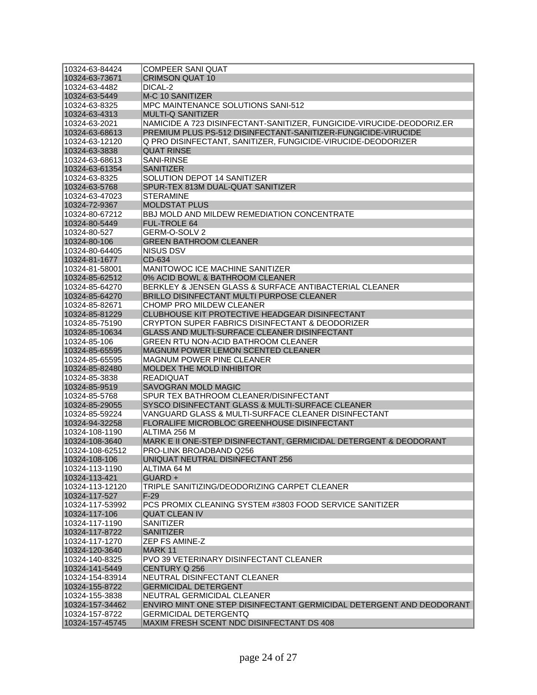| 10324-63-84424  | <b>COMPEER SANI QUAT</b>                                              |
|-----------------|-----------------------------------------------------------------------|
| 10324-63-73671  | <b>CRIMSON QUAT 10</b>                                                |
| 10324-63-4482   | DICAL-2                                                               |
| 10324-63-5449   | M-C 10 SANITIZER                                                      |
| 10324-63-8325   | <b>MPC MAINTENANCE SOLUTIONS SANI-512</b>                             |
| 10324-63-4313   | <b>MULTI-Q SANITIZER</b>                                              |
| 10324-63-2021   | NAMICIDE A 723 DISINFECTANT-SANITIZER, FUNGICIDE-VIRUCIDE-DEODORIZ.ER |
| 10324-63-68613  | PREMIUM PLUS PS-512 DISINFECTANT-SANITIZER-FUNGICIDE-VIRUCIDE         |
| 10324-63-12120  | Q PRO DISINFECTANT, SANITIZER, FUNGICIDE-VIRUCIDE-DEODORIZER          |
| 10324-63-3838   | <b>QUAT RINSE</b>                                                     |
| 10324-63-68613  | SANI-RINSE                                                            |
| 10324-63-61354  | <b>SANITIZER</b>                                                      |
| 10324-63-8325   | SOLUTION DEPOT 14 SANITIZER                                           |
| 10324-63-5768   | SPUR-TEX 813M DUAL-QUAT SANITIZER                                     |
| 10324-63-47023  | <b>STERAMINE</b>                                                      |
| 10324-72-9367   | <b>MOLDSTAT PLUS</b>                                                  |
| 10324-80-67212  | <b>BBJ MOLD AND MILDEW REMEDIATION CONCENTRATE</b>                    |
| 10324-80-5449   | <b>FUL-TROLE 64</b>                                                   |
| 10324-80-527    | GERM-O-SOLV 2                                                         |
| 10324-80-106    | <b>GREEN BATHROOM CLEANER</b>                                         |
| 10324-80-64405  | NISUS DSV                                                             |
| 10324-81-1677   | CD-634                                                                |
| 10324-81-58001  | MANITOWOC ICE MACHINE SANITIZER                                       |
| 10324-85-62512  |                                                                       |
|                 | 0% ACID BOWL & BATHROOM CLEANER                                       |
| 10324-85-64270  | BERKLEY & JENSEN GLASS & SURFACE ANTIBACTERIAL CLEANER                |
| 10324-85-64270  | BRILLO DISINFECTANT MULTI PURPOSE CLEANER                             |
| 10324-85-82671  | <b>CHOMP PRO MILDEW CLEANER</b>                                       |
| 10324-85-81229  | CLUBHOUSE KIT PROTECTIVE HEADGEAR DISINFECTANT                        |
| 10324-85-75190  | CRYPTON SUPER FABRICS DISINFECTANT & DEODORIZER                       |
| 10324-85-10634  | GLASS AND MULTI-SURFACE CLEANER DISINFECTANT                          |
| 10324-85-106    | GREEN RTU NON-ACID BATHROOM CLEANER                                   |
| 10324-85-65595  | <b>MAGNUM POWER LEMON SCENTED CLEANER</b>                             |
| 10324-85-65595  | <b>MAGNUM POWER PINE CLEANER</b>                                      |
| 10324-85-82480  | MOLDEX THE MOLD INHIBITOR                                             |
| 10324-85-3838   | <b>READIQUAT</b>                                                      |
| 10324-85-9519   | <b>SAVOGRAN MOLD MAGIC</b>                                            |
| 10324-85-5768   | SPUR TEX BATHROOM CLEANER/DISINFECTANT                                |
| 10324-85-29055  | SYSCO DISINFECTANT GLASS & MULTI-SURFACE CLEANER                      |
| 10324-85-59224  | VANGUARD GLASS & MULTI-SURFACE CLEANER DISINFECTANT                   |
| 10324-94-32258  | FLORALIFE MICROBLOC GREENHOUSE DISINFECTANT                           |
| 10324-108-1190  | ALTIMA 256 M                                                          |
| 10324-108-3640  | MARK E II ONE-STEP DISINFECTANT, GERMICIDAL DETERGENT & DEODORANT     |
| 10324-108-62512 | PRO-LINK BROADBAND Q256                                               |
| 10324-108-106   | UNIQUAT NEUTRAL DISINFECTANT 256                                      |
| 10324-113-1190  | ALTIMA 64 M                                                           |
| 10324-113-421   | GUARD +                                                               |
| 10324-113-12120 | TRIPLE SANITIZING/DEODORIZING CARPET CLEANER                          |
| 10324-117-527   | $F-29$                                                                |
| 10324-117-53992 | PCS PROMIX CLEANING SYSTEM #3803 FOOD SERVICE SANITIZER               |
| 10324-117-106   | <b>QUAT CLEAN IV</b>                                                  |
| 10324-117-1190  | <b>SANITIZER</b>                                                      |
| 10324-117-8722  | <b>SANITIZER</b>                                                      |
| 10324-117-1270  | <b>ZEP FS AMINE-Z</b>                                                 |
| 10324-120-3640  | MARK 11                                                               |
| 10324-140-8325  | <b>PVO 39 VETERINARY DISINFECTANT CLEANER</b>                         |
| 10324-141-5449  | CENTURY Q 256                                                         |
| 10324-154-83914 | NEUTRAL DISINFECTANT CLEANER                                          |
| 10324-155-8722  | <b>GERMICIDAL DETERGENT</b>                                           |
| 10324-155-3838  | NEUTRAL GERMICIDAL CLEANER                                            |
| 10324-157-34462 | ENVIRO MINT ONE STEP DISINFECTANT GERMICIDAL DETERGENT AND DEODORANT  |
| 10324-157-8722  | GERMICIDAL DETERGENTQ                                                 |
| 10324-157-45745 | MAXIM FRESH SCENT NDC DISINFECTANT DS 408                             |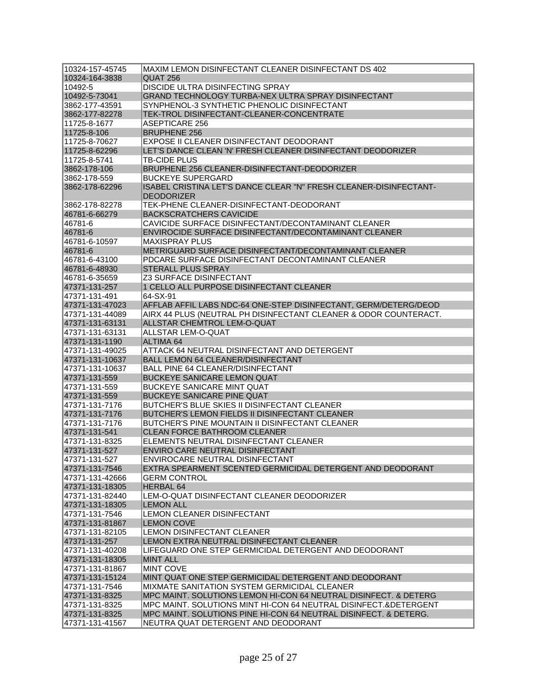| 10324-164-3838<br>QUAT 256<br>DISCIDE ULTRA DISINFECTING SPRAY<br>10492-5<br>10492-5-73041<br>GRAND TECHNOLOGY TURBA-NEX ULTRA SPRAY DISINFECTANT<br>SYNPHENOL-3 SYNTHETIC PHENOLIC DISINFECTANT<br>3862-177-43591<br>3862-177-82278<br>TEK-TROL DISINFECTANT-CLEANER-CONCENTRATE<br>11725-8-1677<br><b>ASEPTICARE 256</b><br>11725-8-106<br><b>BRUPHENE 256</b><br>11725-8-70627<br>EXPOSE II CLEANER DISINFECTANT DEODORANT<br>LET'S DANCE CLEAN 'N' FRESH CLEANER DISINFECTANT DEODORIZER<br>11725-8-62296<br>11725-8-5741<br>TB-CIDE PLUS<br>3862-178-106<br>BRUPHENE 256 CLEANER-DISINFECTANT-DEODORIZER<br><b>BUCKEYE SUPERGARD</b><br>3862-178-559<br>ISABEL CRISTINA LET'S DANCE CLEAR "N" FRESH CLEANER-DISINFECTANT-<br>3862-178-62296<br><b>DEODORIZER</b><br>TEK-PHENE CLEANER-DISINFECTANT-DEODORANT<br>3862-178-82278<br>46781-6-66279<br><b>BACKSCRATCHERS CAVICIDE</b><br>CAVICIDE SURFACE DISINFECTANT/DECONTAMINANT CLEANER<br>46781-6<br>ENVIROCIDE SURFACE DISINFECTANT/DECONTAMINANT CLEANER<br>46781-6<br><b>MAXISPRAY PLUS</b><br>46781-6-10597<br>46781-6<br>METRIGUARD SURFACE DISINFECTANT/DECONTAMINANT CLEANER<br>PDCARE SURFACE DISINFECTANT DECONTAMINANT CLEANER<br>46781-6-43100<br>46781-6-48930<br><b>STERALL PLUS SPRAY</b><br>46781-6-35659<br><b>Z3 SURFACE DISINFECTANT</b><br>1 CELLO ALL PURPOSE DISINFECTANT CLEANER<br>47371-131-257<br>64-SX-91<br>47371-131-491<br>AFFLAB AFFIL LABS NDC-64 ONE-STEP DISINFECTANT, GERM/DETERG/DEOD<br>47371-131-47023<br>AIRX 44 PLUS (NEUTRAL PH DISINFECTANT CLEANER & ODOR COUNTERACT.<br>47371-131-44089<br>ALLSTAR CHEMTROL LEM-O-QUAT<br>47371-131-63131<br>47371-131-63131<br>ALLSTAR LEM-O-QUAT<br><b>ALTIMA 64</b><br>47371-131-1190<br>ATTACK 64 NEUTRAL DISINFECTANT AND DETERGENT<br>47371-131-49025<br>47371-131-10637<br><b>BALL LEMON 64 CLEANER/DISINFECTANT</b><br><b>BALL PINE 64 CLEANER/DISINFECTANT</b><br>47371-131-10637<br>BUCKEYE SANICARE LEMON QUAT<br>47371-131-559<br><b>BUCKEYE SANICARE MINT QUAT</b><br>47371-131-559<br>47371-131-559<br>BUCKEYE SANICARE PINE QUAT<br>BUTCHER'S BLUE SKIES II DISINFECTANT CLEANER<br>47371-131-7176<br>47371-131-7176<br>BUTCHER'S LEMON FIELDS II DISINFECTANT CLEANER<br>BUTCHER'S PINE MOUNTAIN II DISINFECTANT CLEANER<br>47371-131-7176<br><b>CLEAN FORCE BATHROOM CLEANER</b><br>47371-131-541<br>ELEMENTS NEUTRAL DISINFECTANT CLEANER<br>47371-131-8325<br>47371-131-527<br>ENVIRO CARE NEUTRAL DISINFECTANT<br> 47371-131-527<br>ENVIROCARE NEUTRAL DISINFECTANT<br>EXTRA SPEARMENT SCENTED GERMICIDAL DETERGENT AND DEODORANT<br>47371-131-42666<br><b>GERM CONTROL</b><br>47371-131-18305<br><b>HERBAL 64</b><br>LEM-O-QUAT DISINFECTANT CLEANER DEODORIZER<br>47371-131-82440<br>47371-131-18305<br><b>LEMON ALL</b><br>LEMON CLEANER DISINFECTANT<br>47371-131-7546<br>47371-131-81867<br><b>LEMON COVE</b><br>47371-131-82105<br>LEMON DISINFECTANT CLEANER<br>47371-131-257<br>LEMON EXTRA NEUTRAL DISINFECTANT CLEANER<br>LIFEGUARD ONE STEP GERMICIDAL DETERGENT AND DEODORANT<br>47371-131-40208<br><b>MINT ALL</b><br>47371-131-18305<br>47371-131-81867<br><b>MINT COVE</b><br>47371-131-15124<br>MINT QUAT ONE STEP GERMICIDAL DETERGENT AND DEODORANT<br>47371-131-7546<br>MIXMATE SANITATION SYSTEM GERMICIDAL CLEANER<br>47371-131-8325<br>MPC MAINT. SOLUTIONS LEMON HI-CON 64 NEUTRAL DISINFECT. & DETERG<br>MPC MAINT. SOLUTIONS MINT HI-CON 64 NEUTRAL DISINFECT.&DETERGENT<br>47371-131-8325<br>47371-131-8325<br>MPC MAINT. SOLUTIONS PINE HI-CON 64 NEUTRAL DISINFECT. & DETERG.<br>NEUTRA QUAT DETERGENT AND DEODORANT | 10324-157-45745 | MAXIM LEMON DISINFECTANT CLEANER DISINFECTANT DS 402 |
|--------------------------------------------------------------------------------------------------------------------------------------------------------------------------------------------------------------------------------------------------------------------------------------------------------------------------------------------------------------------------------------------------------------------------------------------------------------------------------------------------------------------------------------------------------------------------------------------------------------------------------------------------------------------------------------------------------------------------------------------------------------------------------------------------------------------------------------------------------------------------------------------------------------------------------------------------------------------------------------------------------------------------------------------------------------------------------------------------------------------------------------------------------------------------------------------------------------------------------------------------------------------------------------------------------------------------------------------------------------------------------------------------------------------------------------------------------------------------------------------------------------------------------------------------------------------------------------------------------------------------------------------------------------------------------------------------------------------------------------------------------------------------------------------------------------------------------------------------------------------------------------------------------------------------------------------------------------------------------------------------------------------------------------------------------------------------------------------------------------------------------------------------------------------------------------------------------------------------------------------------------------------------------------------------------------------------------------------------------------------------------------------------------------------------------------------------------------------------------------------------------------------------------------------------------------------------------------------------------------------------------------------------------------------------------------------------------------------------------------------------------------------------------------------------------------------------------------------------------------------------------------------------------------------------------------------------------------------------------------------------------------------------------------------------------------------------------------------------------------------------------------------------------------------------------------------------------------------------------------------------------------------------------------------------------------------------------------------------------------------------------------------------------------------------------------------------------------------------------------------------------------------------------------------------------------------------------------------------------|-----------------|------------------------------------------------------|
|                                                                                                                                                                                                                                                                                                                                                                                                                                                                                                                                                                                                                                                                                                                                                                                                                                                                                                                                                                                                                                                                                                                                                                                                                                                                                                                                                                                                                                                                                                                                                                                                                                                                                                                                                                                                                                                                                                                                                                                                                                                                                                                                                                                                                                                                                                                                                                                                                                                                                                                                                                                                                                                                                                                                                                                                                                                                                                                                                                                                                                                                                                                                                                                                                                                                                                                                                                                                                                                                                                                                                                                                        |                 |                                                      |
|                                                                                                                                                                                                                                                                                                                                                                                                                                                                                                                                                                                                                                                                                                                                                                                                                                                                                                                                                                                                                                                                                                                                                                                                                                                                                                                                                                                                                                                                                                                                                                                                                                                                                                                                                                                                                                                                                                                                                                                                                                                                                                                                                                                                                                                                                                                                                                                                                                                                                                                                                                                                                                                                                                                                                                                                                                                                                                                                                                                                                                                                                                                                                                                                                                                                                                                                                                                                                                                                                                                                                                                                        |                 |                                                      |
|                                                                                                                                                                                                                                                                                                                                                                                                                                                                                                                                                                                                                                                                                                                                                                                                                                                                                                                                                                                                                                                                                                                                                                                                                                                                                                                                                                                                                                                                                                                                                                                                                                                                                                                                                                                                                                                                                                                                                                                                                                                                                                                                                                                                                                                                                                                                                                                                                                                                                                                                                                                                                                                                                                                                                                                                                                                                                                                                                                                                                                                                                                                                                                                                                                                                                                                                                                                                                                                                                                                                                                                                        |                 |                                                      |
|                                                                                                                                                                                                                                                                                                                                                                                                                                                                                                                                                                                                                                                                                                                                                                                                                                                                                                                                                                                                                                                                                                                                                                                                                                                                                                                                                                                                                                                                                                                                                                                                                                                                                                                                                                                                                                                                                                                                                                                                                                                                                                                                                                                                                                                                                                                                                                                                                                                                                                                                                                                                                                                                                                                                                                                                                                                                                                                                                                                                                                                                                                                                                                                                                                                                                                                                                                                                                                                                                                                                                                                                        |                 |                                                      |
|                                                                                                                                                                                                                                                                                                                                                                                                                                                                                                                                                                                                                                                                                                                                                                                                                                                                                                                                                                                                                                                                                                                                                                                                                                                                                                                                                                                                                                                                                                                                                                                                                                                                                                                                                                                                                                                                                                                                                                                                                                                                                                                                                                                                                                                                                                                                                                                                                                                                                                                                                                                                                                                                                                                                                                                                                                                                                                                                                                                                                                                                                                                                                                                                                                                                                                                                                                                                                                                                                                                                                                                                        |                 |                                                      |
|                                                                                                                                                                                                                                                                                                                                                                                                                                                                                                                                                                                                                                                                                                                                                                                                                                                                                                                                                                                                                                                                                                                                                                                                                                                                                                                                                                                                                                                                                                                                                                                                                                                                                                                                                                                                                                                                                                                                                                                                                                                                                                                                                                                                                                                                                                                                                                                                                                                                                                                                                                                                                                                                                                                                                                                                                                                                                                                                                                                                                                                                                                                                                                                                                                                                                                                                                                                                                                                                                                                                                                                                        |                 |                                                      |
|                                                                                                                                                                                                                                                                                                                                                                                                                                                                                                                                                                                                                                                                                                                                                                                                                                                                                                                                                                                                                                                                                                                                                                                                                                                                                                                                                                                                                                                                                                                                                                                                                                                                                                                                                                                                                                                                                                                                                                                                                                                                                                                                                                                                                                                                                                                                                                                                                                                                                                                                                                                                                                                                                                                                                                                                                                                                                                                                                                                                                                                                                                                                                                                                                                                                                                                                                                                                                                                                                                                                                                                                        |                 |                                                      |
|                                                                                                                                                                                                                                                                                                                                                                                                                                                                                                                                                                                                                                                                                                                                                                                                                                                                                                                                                                                                                                                                                                                                                                                                                                                                                                                                                                                                                                                                                                                                                                                                                                                                                                                                                                                                                                                                                                                                                                                                                                                                                                                                                                                                                                                                                                                                                                                                                                                                                                                                                                                                                                                                                                                                                                                                                                                                                                                                                                                                                                                                                                                                                                                                                                                                                                                                                                                                                                                                                                                                                                                                        |                 |                                                      |
|                                                                                                                                                                                                                                                                                                                                                                                                                                                                                                                                                                                                                                                                                                                                                                                                                                                                                                                                                                                                                                                                                                                                                                                                                                                                                                                                                                                                                                                                                                                                                                                                                                                                                                                                                                                                                                                                                                                                                                                                                                                                                                                                                                                                                                                                                                                                                                                                                                                                                                                                                                                                                                                                                                                                                                                                                                                                                                                                                                                                                                                                                                                                                                                                                                                                                                                                                                                                                                                                                                                                                                                                        |                 |                                                      |
|                                                                                                                                                                                                                                                                                                                                                                                                                                                                                                                                                                                                                                                                                                                                                                                                                                                                                                                                                                                                                                                                                                                                                                                                                                                                                                                                                                                                                                                                                                                                                                                                                                                                                                                                                                                                                                                                                                                                                                                                                                                                                                                                                                                                                                                                                                                                                                                                                                                                                                                                                                                                                                                                                                                                                                                                                                                                                                                                                                                                                                                                                                                                                                                                                                                                                                                                                                                                                                                                                                                                                                                                        |                 |                                                      |
|                                                                                                                                                                                                                                                                                                                                                                                                                                                                                                                                                                                                                                                                                                                                                                                                                                                                                                                                                                                                                                                                                                                                                                                                                                                                                                                                                                                                                                                                                                                                                                                                                                                                                                                                                                                                                                                                                                                                                                                                                                                                                                                                                                                                                                                                                                                                                                                                                                                                                                                                                                                                                                                                                                                                                                                                                                                                                                                                                                                                                                                                                                                                                                                                                                                                                                                                                                                                                                                                                                                                                                                                        |                 |                                                      |
|                                                                                                                                                                                                                                                                                                                                                                                                                                                                                                                                                                                                                                                                                                                                                                                                                                                                                                                                                                                                                                                                                                                                                                                                                                                                                                                                                                                                                                                                                                                                                                                                                                                                                                                                                                                                                                                                                                                                                                                                                                                                                                                                                                                                                                                                                                                                                                                                                                                                                                                                                                                                                                                                                                                                                                                                                                                                                                                                                                                                                                                                                                                                                                                                                                                                                                                                                                                                                                                                                                                                                                                                        |                 |                                                      |
|                                                                                                                                                                                                                                                                                                                                                                                                                                                                                                                                                                                                                                                                                                                                                                                                                                                                                                                                                                                                                                                                                                                                                                                                                                                                                                                                                                                                                                                                                                                                                                                                                                                                                                                                                                                                                                                                                                                                                                                                                                                                                                                                                                                                                                                                                                                                                                                                                                                                                                                                                                                                                                                                                                                                                                                                                                                                                                                                                                                                                                                                                                                                                                                                                                                                                                                                                                                                                                                                                                                                                                                                        |                 |                                                      |
|                                                                                                                                                                                                                                                                                                                                                                                                                                                                                                                                                                                                                                                                                                                                                                                                                                                                                                                                                                                                                                                                                                                                                                                                                                                                                                                                                                                                                                                                                                                                                                                                                                                                                                                                                                                                                                                                                                                                                                                                                                                                                                                                                                                                                                                                                                                                                                                                                                                                                                                                                                                                                                                                                                                                                                                                                                                                                                                                                                                                                                                                                                                                                                                                                                                                                                                                                                                                                                                                                                                                                                                                        |                 |                                                      |
|                                                                                                                                                                                                                                                                                                                                                                                                                                                                                                                                                                                                                                                                                                                                                                                                                                                                                                                                                                                                                                                                                                                                                                                                                                                                                                                                                                                                                                                                                                                                                                                                                                                                                                                                                                                                                                                                                                                                                                                                                                                                                                                                                                                                                                                                                                                                                                                                                                                                                                                                                                                                                                                                                                                                                                                                                                                                                                                                                                                                                                                                                                                                                                                                                                                                                                                                                                                                                                                                                                                                                                                                        |                 |                                                      |
|                                                                                                                                                                                                                                                                                                                                                                                                                                                                                                                                                                                                                                                                                                                                                                                                                                                                                                                                                                                                                                                                                                                                                                                                                                                                                                                                                                                                                                                                                                                                                                                                                                                                                                                                                                                                                                                                                                                                                                                                                                                                                                                                                                                                                                                                                                                                                                                                                                                                                                                                                                                                                                                                                                                                                                                                                                                                                                                                                                                                                                                                                                                                                                                                                                                                                                                                                                                                                                                                                                                                                                                                        |                 |                                                      |
|                                                                                                                                                                                                                                                                                                                                                                                                                                                                                                                                                                                                                                                                                                                                                                                                                                                                                                                                                                                                                                                                                                                                                                                                                                                                                                                                                                                                                                                                                                                                                                                                                                                                                                                                                                                                                                                                                                                                                                                                                                                                                                                                                                                                                                                                                                                                                                                                                                                                                                                                                                                                                                                                                                                                                                                                                                                                                                                                                                                                                                                                                                                                                                                                                                                                                                                                                                                                                                                                                                                                                                                                        |                 |                                                      |
|                                                                                                                                                                                                                                                                                                                                                                                                                                                                                                                                                                                                                                                                                                                                                                                                                                                                                                                                                                                                                                                                                                                                                                                                                                                                                                                                                                                                                                                                                                                                                                                                                                                                                                                                                                                                                                                                                                                                                                                                                                                                                                                                                                                                                                                                                                                                                                                                                                                                                                                                                                                                                                                                                                                                                                                                                                                                                                                                                                                                                                                                                                                                                                                                                                                                                                                                                                                                                                                                                                                                                                                                        |                 |                                                      |
|                                                                                                                                                                                                                                                                                                                                                                                                                                                                                                                                                                                                                                                                                                                                                                                                                                                                                                                                                                                                                                                                                                                                                                                                                                                                                                                                                                                                                                                                                                                                                                                                                                                                                                                                                                                                                                                                                                                                                                                                                                                                                                                                                                                                                                                                                                                                                                                                                                                                                                                                                                                                                                                                                                                                                                                                                                                                                                                                                                                                                                                                                                                                                                                                                                                                                                                                                                                                                                                                                                                                                                                                        |                 |                                                      |
|                                                                                                                                                                                                                                                                                                                                                                                                                                                                                                                                                                                                                                                                                                                                                                                                                                                                                                                                                                                                                                                                                                                                                                                                                                                                                                                                                                                                                                                                                                                                                                                                                                                                                                                                                                                                                                                                                                                                                                                                                                                                                                                                                                                                                                                                                                                                                                                                                                                                                                                                                                                                                                                                                                                                                                                                                                                                                                                                                                                                                                                                                                                                                                                                                                                                                                                                                                                                                                                                                                                                                                                                        |                 |                                                      |
|                                                                                                                                                                                                                                                                                                                                                                                                                                                                                                                                                                                                                                                                                                                                                                                                                                                                                                                                                                                                                                                                                                                                                                                                                                                                                                                                                                                                                                                                                                                                                                                                                                                                                                                                                                                                                                                                                                                                                                                                                                                                                                                                                                                                                                                                                                                                                                                                                                                                                                                                                                                                                                                                                                                                                                                                                                                                                                                                                                                                                                                                                                                                                                                                                                                                                                                                                                                                                                                                                                                                                                                                        |                 |                                                      |
|                                                                                                                                                                                                                                                                                                                                                                                                                                                                                                                                                                                                                                                                                                                                                                                                                                                                                                                                                                                                                                                                                                                                                                                                                                                                                                                                                                                                                                                                                                                                                                                                                                                                                                                                                                                                                                                                                                                                                                                                                                                                                                                                                                                                                                                                                                                                                                                                                                                                                                                                                                                                                                                                                                                                                                                                                                                                                                                                                                                                                                                                                                                                                                                                                                                                                                                                                                                                                                                                                                                                                                                                        |                 |                                                      |
|                                                                                                                                                                                                                                                                                                                                                                                                                                                                                                                                                                                                                                                                                                                                                                                                                                                                                                                                                                                                                                                                                                                                                                                                                                                                                                                                                                                                                                                                                                                                                                                                                                                                                                                                                                                                                                                                                                                                                                                                                                                                                                                                                                                                                                                                                                                                                                                                                                                                                                                                                                                                                                                                                                                                                                                                                                                                                                                                                                                                                                                                                                                                                                                                                                                                                                                                                                                                                                                                                                                                                                                                        |                 |                                                      |
|                                                                                                                                                                                                                                                                                                                                                                                                                                                                                                                                                                                                                                                                                                                                                                                                                                                                                                                                                                                                                                                                                                                                                                                                                                                                                                                                                                                                                                                                                                                                                                                                                                                                                                                                                                                                                                                                                                                                                                                                                                                                                                                                                                                                                                                                                                                                                                                                                                                                                                                                                                                                                                                                                                                                                                                                                                                                                                                                                                                                                                                                                                                                                                                                                                                                                                                                                                                                                                                                                                                                                                                                        |                 |                                                      |
|                                                                                                                                                                                                                                                                                                                                                                                                                                                                                                                                                                                                                                                                                                                                                                                                                                                                                                                                                                                                                                                                                                                                                                                                                                                                                                                                                                                                                                                                                                                                                                                                                                                                                                                                                                                                                                                                                                                                                                                                                                                                                                                                                                                                                                                                                                                                                                                                                                                                                                                                                                                                                                                                                                                                                                                                                                                                                                                                                                                                                                                                                                                                                                                                                                                                                                                                                                                                                                                                                                                                                                                                        |                 |                                                      |
|                                                                                                                                                                                                                                                                                                                                                                                                                                                                                                                                                                                                                                                                                                                                                                                                                                                                                                                                                                                                                                                                                                                                                                                                                                                                                                                                                                                                                                                                                                                                                                                                                                                                                                                                                                                                                                                                                                                                                                                                                                                                                                                                                                                                                                                                                                                                                                                                                                                                                                                                                                                                                                                                                                                                                                                                                                                                                                                                                                                                                                                                                                                                                                                                                                                                                                                                                                                                                                                                                                                                                                                                        |                 |                                                      |
|                                                                                                                                                                                                                                                                                                                                                                                                                                                                                                                                                                                                                                                                                                                                                                                                                                                                                                                                                                                                                                                                                                                                                                                                                                                                                                                                                                                                                                                                                                                                                                                                                                                                                                                                                                                                                                                                                                                                                                                                                                                                                                                                                                                                                                                                                                                                                                                                                                                                                                                                                                                                                                                                                                                                                                                                                                                                                                                                                                                                                                                                                                                                                                                                                                                                                                                                                                                                                                                                                                                                                                                                        |                 |                                                      |
|                                                                                                                                                                                                                                                                                                                                                                                                                                                                                                                                                                                                                                                                                                                                                                                                                                                                                                                                                                                                                                                                                                                                                                                                                                                                                                                                                                                                                                                                                                                                                                                                                                                                                                                                                                                                                                                                                                                                                                                                                                                                                                                                                                                                                                                                                                                                                                                                                                                                                                                                                                                                                                                                                                                                                                                                                                                                                                                                                                                                                                                                                                                                                                                                                                                                                                                                                                                                                                                                                                                                                                                                        |                 |                                                      |
|                                                                                                                                                                                                                                                                                                                                                                                                                                                                                                                                                                                                                                                                                                                                                                                                                                                                                                                                                                                                                                                                                                                                                                                                                                                                                                                                                                                                                                                                                                                                                                                                                                                                                                                                                                                                                                                                                                                                                                                                                                                                                                                                                                                                                                                                                                                                                                                                                                                                                                                                                                                                                                                                                                                                                                                                                                                                                                                                                                                                                                                                                                                                                                                                                                                                                                                                                                                                                                                                                                                                                                                                        |                 |                                                      |
|                                                                                                                                                                                                                                                                                                                                                                                                                                                                                                                                                                                                                                                                                                                                                                                                                                                                                                                                                                                                                                                                                                                                                                                                                                                                                                                                                                                                                                                                                                                                                                                                                                                                                                                                                                                                                                                                                                                                                                                                                                                                                                                                                                                                                                                                                                                                                                                                                                                                                                                                                                                                                                                                                                                                                                                                                                                                                                                                                                                                                                                                                                                                                                                                                                                                                                                                                                                                                                                                                                                                                                                                        |                 |                                                      |
|                                                                                                                                                                                                                                                                                                                                                                                                                                                                                                                                                                                                                                                                                                                                                                                                                                                                                                                                                                                                                                                                                                                                                                                                                                                                                                                                                                                                                                                                                                                                                                                                                                                                                                                                                                                                                                                                                                                                                                                                                                                                                                                                                                                                                                                                                                                                                                                                                                                                                                                                                                                                                                                                                                                                                                                                                                                                                                                                                                                                                                                                                                                                                                                                                                                                                                                                                                                                                                                                                                                                                                                                        |                 |                                                      |
|                                                                                                                                                                                                                                                                                                                                                                                                                                                                                                                                                                                                                                                                                                                                                                                                                                                                                                                                                                                                                                                                                                                                                                                                                                                                                                                                                                                                                                                                                                                                                                                                                                                                                                                                                                                                                                                                                                                                                                                                                                                                                                                                                                                                                                                                                                                                                                                                                                                                                                                                                                                                                                                                                                                                                                                                                                                                                                                                                                                                                                                                                                                                                                                                                                                                                                                                                                                                                                                                                                                                                                                                        |                 |                                                      |
|                                                                                                                                                                                                                                                                                                                                                                                                                                                                                                                                                                                                                                                                                                                                                                                                                                                                                                                                                                                                                                                                                                                                                                                                                                                                                                                                                                                                                                                                                                                                                                                                                                                                                                                                                                                                                                                                                                                                                                                                                                                                                                                                                                                                                                                                                                                                                                                                                                                                                                                                                                                                                                                                                                                                                                                                                                                                                                                                                                                                                                                                                                                                                                                                                                                                                                                                                                                                                                                                                                                                                                                                        |                 |                                                      |
|                                                                                                                                                                                                                                                                                                                                                                                                                                                                                                                                                                                                                                                                                                                                                                                                                                                                                                                                                                                                                                                                                                                                                                                                                                                                                                                                                                                                                                                                                                                                                                                                                                                                                                                                                                                                                                                                                                                                                                                                                                                                                                                                                                                                                                                                                                                                                                                                                                                                                                                                                                                                                                                                                                                                                                                                                                                                                                                                                                                                                                                                                                                                                                                                                                                                                                                                                                                                                                                                                                                                                                                                        |                 |                                                      |
|                                                                                                                                                                                                                                                                                                                                                                                                                                                                                                                                                                                                                                                                                                                                                                                                                                                                                                                                                                                                                                                                                                                                                                                                                                                                                                                                                                                                                                                                                                                                                                                                                                                                                                                                                                                                                                                                                                                                                                                                                                                                                                                                                                                                                                                                                                                                                                                                                                                                                                                                                                                                                                                                                                                                                                                                                                                                                                                                                                                                                                                                                                                                                                                                                                                                                                                                                                                                                                                                                                                                                                                                        |                 |                                                      |
|                                                                                                                                                                                                                                                                                                                                                                                                                                                                                                                                                                                                                                                                                                                                                                                                                                                                                                                                                                                                                                                                                                                                                                                                                                                                                                                                                                                                                                                                                                                                                                                                                                                                                                                                                                                                                                                                                                                                                                                                                                                                                                                                                                                                                                                                                                                                                                                                                                                                                                                                                                                                                                                                                                                                                                                                                                                                                                                                                                                                                                                                                                                                                                                                                                                                                                                                                                                                                                                                                                                                                                                                        |                 |                                                      |
|                                                                                                                                                                                                                                                                                                                                                                                                                                                                                                                                                                                                                                                                                                                                                                                                                                                                                                                                                                                                                                                                                                                                                                                                                                                                                                                                                                                                                                                                                                                                                                                                                                                                                                                                                                                                                                                                                                                                                                                                                                                                                                                                                                                                                                                                                                                                                                                                                                                                                                                                                                                                                                                                                                                                                                                                                                                                                                                                                                                                                                                                                                                                                                                                                                                                                                                                                                                                                                                                                                                                                                                                        |                 |                                                      |
|                                                                                                                                                                                                                                                                                                                                                                                                                                                                                                                                                                                                                                                                                                                                                                                                                                                                                                                                                                                                                                                                                                                                                                                                                                                                                                                                                                                                                                                                                                                                                                                                                                                                                                                                                                                                                                                                                                                                                                                                                                                                                                                                                                                                                                                                                                                                                                                                                                                                                                                                                                                                                                                                                                                                                                                                                                                                                                                                                                                                                                                                                                                                                                                                                                                                                                                                                                                                                                                                                                                                                                                                        |                 |                                                      |
|                                                                                                                                                                                                                                                                                                                                                                                                                                                                                                                                                                                                                                                                                                                                                                                                                                                                                                                                                                                                                                                                                                                                                                                                                                                                                                                                                                                                                                                                                                                                                                                                                                                                                                                                                                                                                                                                                                                                                                                                                                                                                                                                                                                                                                                                                                                                                                                                                                                                                                                                                                                                                                                                                                                                                                                                                                                                                                                                                                                                                                                                                                                                                                                                                                                                                                                                                                                                                                                                                                                                                                                                        |                 |                                                      |
|                                                                                                                                                                                                                                                                                                                                                                                                                                                                                                                                                                                                                                                                                                                                                                                                                                                                                                                                                                                                                                                                                                                                                                                                                                                                                                                                                                                                                                                                                                                                                                                                                                                                                                                                                                                                                                                                                                                                                                                                                                                                                                                                                                                                                                                                                                                                                                                                                                                                                                                                                                                                                                                                                                                                                                                                                                                                                                                                                                                                                                                                                                                                                                                                                                                                                                                                                                                                                                                                                                                                                                                                        |                 |                                                      |
|                                                                                                                                                                                                                                                                                                                                                                                                                                                                                                                                                                                                                                                                                                                                                                                                                                                                                                                                                                                                                                                                                                                                                                                                                                                                                                                                                                                                                                                                                                                                                                                                                                                                                                                                                                                                                                                                                                                                                                                                                                                                                                                                                                                                                                                                                                                                                                                                                                                                                                                                                                                                                                                                                                                                                                                                                                                                                                                                                                                                                                                                                                                                                                                                                                                                                                                                                                                                                                                                                                                                                                                                        |                 |                                                      |
|                                                                                                                                                                                                                                                                                                                                                                                                                                                                                                                                                                                                                                                                                                                                                                                                                                                                                                                                                                                                                                                                                                                                                                                                                                                                                                                                                                                                                                                                                                                                                                                                                                                                                                                                                                                                                                                                                                                                                                                                                                                                                                                                                                                                                                                                                                                                                                                                                                                                                                                                                                                                                                                                                                                                                                                                                                                                                                                                                                                                                                                                                                                                                                                                                                                                                                                                                                                                                                                                                                                                                                                                        |                 |                                                      |
|                                                                                                                                                                                                                                                                                                                                                                                                                                                                                                                                                                                                                                                                                                                                                                                                                                                                                                                                                                                                                                                                                                                                                                                                                                                                                                                                                                                                                                                                                                                                                                                                                                                                                                                                                                                                                                                                                                                                                                                                                                                                                                                                                                                                                                                                                                                                                                                                                                                                                                                                                                                                                                                                                                                                                                                                                                                                                                                                                                                                                                                                                                                                                                                                                                                                                                                                                                                                                                                                                                                                                                                                        |                 |                                                      |
|                                                                                                                                                                                                                                                                                                                                                                                                                                                                                                                                                                                                                                                                                                                                                                                                                                                                                                                                                                                                                                                                                                                                                                                                                                                                                                                                                                                                                                                                                                                                                                                                                                                                                                                                                                                                                                                                                                                                                                                                                                                                                                                                                                                                                                                                                                                                                                                                                                                                                                                                                                                                                                                                                                                                                                                                                                                                                                                                                                                                                                                                                                                                                                                                                                                                                                                                                                                                                                                                                                                                                                                                        | 47371-131-7546  |                                                      |
|                                                                                                                                                                                                                                                                                                                                                                                                                                                                                                                                                                                                                                                                                                                                                                                                                                                                                                                                                                                                                                                                                                                                                                                                                                                                                                                                                                                                                                                                                                                                                                                                                                                                                                                                                                                                                                                                                                                                                                                                                                                                                                                                                                                                                                                                                                                                                                                                                                                                                                                                                                                                                                                                                                                                                                                                                                                                                                                                                                                                                                                                                                                                                                                                                                                                                                                                                                                                                                                                                                                                                                                                        |                 |                                                      |
|                                                                                                                                                                                                                                                                                                                                                                                                                                                                                                                                                                                                                                                                                                                                                                                                                                                                                                                                                                                                                                                                                                                                                                                                                                                                                                                                                                                                                                                                                                                                                                                                                                                                                                                                                                                                                                                                                                                                                                                                                                                                                                                                                                                                                                                                                                                                                                                                                                                                                                                                                                                                                                                                                                                                                                                                                                                                                                                                                                                                                                                                                                                                                                                                                                                                                                                                                                                                                                                                                                                                                                                                        |                 |                                                      |
|                                                                                                                                                                                                                                                                                                                                                                                                                                                                                                                                                                                                                                                                                                                                                                                                                                                                                                                                                                                                                                                                                                                                                                                                                                                                                                                                                                                                                                                                                                                                                                                                                                                                                                                                                                                                                                                                                                                                                                                                                                                                                                                                                                                                                                                                                                                                                                                                                                                                                                                                                                                                                                                                                                                                                                                                                                                                                                                                                                                                                                                                                                                                                                                                                                                                                                                                                                                                                                                                                                                                                                                                        |                 |                                                      |
|                                                                                                                                                                                                                                                                                                                                                                                                                                                                                                                                                                                                                                                                                                                                                                                                                                                                                                                                                                                                                                                                                                                                                                                                                                                                                                                                                                                                                                                                                                                                                                                                                                                                                                                                                                                                                                                                                                                                                                                                                                                                                                                                                                                                                                                                                                                                                                                                                                                                                                                                                                                                                                                                                                                                                                                                                                                                                                                                                                                                                                                                                                                                                                                                                                                                                                                                                                                                                                                                                                                                                                                                        |                 |                                                      |
|                                                                                                                                                                                                                                                                                                                                                                                                                                                                                                                                                                                                                                                                                                                                                                                                                                                                                                                                                                                                                                                                                                                                                                                                                                                                                                                                                                                                                                                                                                                                                                                                                                                                                                                                                                                                                                                                                                                                                                                                                                                                                                                                                                                                                                                                                                                                                                                                                                                                                                                                                                                                                                                                                                                                                                                                                                                                                                                                                                                                                                                                                                                                                                                                                                                                                                                                                                                                                                                                                                                                                                                                        |                 |                                                      |
|                                                                                                                                                                                                                                                                                                                                                                                                                                                                                                                                                                                                                                                                                                                                                                                                                                                                                                                                                                                                                                                                                                                                                                                                                                                                                                                                                                                                                                                                                                                                                                                                                                                                                                                                                                                                                                                                                                                                                                                                                                                                                                                                                                                                                                                                                                                                                                                                                                                                                                                                                                                                                                                                                                                                                                                                                                                                                                                                                                                                                                                                                                                                                                                                                                                                                                                                                                                                                                                                                                                                                                                                        |                 |                                                      |
|                                                                                                                                                                                                                                                                                                                                                                                                                                                                                                                                                                                                                                                                                                                                                                                                                                                                                                                                                                                                                                                                                                                                                                                                                                                                                                                                                                                                                                                                                                                                                                                                                                                                                                                                                                                                                                                                                                                                                                                                                                                                                                                                                                                                                                                                                                                                                                                                                                                                                                                                                                                                                                                                                                                                                                                                                                                                                                                                                                                                                                                                                                                                                                                                                                                                                                                                                                                                                                                                                                                                                                                                        |                 |                                                      |
|                                                                                                                                                                                                                                                                                                                                                                                                                                                                                                                                                                                                                                                                                                                                                                                                                                                                                                                                                                                                                                                                                                                                                                                                                                                                                                                                                                                                                                                                                                                                                                                                                                                                                                                                                                                                                                                                                                                                                                                                                                                                                                                                                                                                                                                                                                                                                                                                                                                                                                                                                                                                                                                                                                                                                                                                                                                                                                                                                                                                                                                                                                                                                                                                                                                                                                                                                                                                                                                                                                                                                                                                        |                 |                                                      |
|                                                                                                                                                                                                                                                                                                                                                                                                                                                                                                                                                                                                                                                                                                                                                                                                                                                                                                                                                                                                                                                                                                                                                                                                                                                                                                                                                                                                                                                                                                                                                                                                                                                                                                                                                                                                                                                                                                                                                                                                                                                                                                                                                                                                                                                                                                                                                                                                                                                                                                                                                                                                                                                                                                                                                                                                                                                                                                                                                                                                                                                                                                                                                                                                                                                                                                                                                                                                                                                                                                                                                                                                        |                 |                                                      |
|                                                                                                                                                                                                                                                                                                                                                                                                                                                                                                                                                                                                                                                                                                                                                                                                                                                                                                                                                                                                                                                                                                                                                                                                                                                                                                                                                                                                                                                                                                                                                                                                                                                                                                                                                                                                                                                                                                                                                                                                                                                                                                                                                                                                                                                                                                                                                                                                                                                                                                                                                                                                                                                                                                                                                                                                                                                                                                                                                                                                                                                                                                                                                                                                                                                                                                                                                                                                                                                                                                                                                                                                        |                 |                                                      |
|                                                                                                                                                                                                                                                                                                                                                                                                                                                                                                                                                                                                                                                                                                                                                                                                                                                                                                                                                                                                                                                                                                                                                                                                                                                                                                                                                                                                                                                                                                                                                                                                                                                                                                                                                                                                                                                                                                                                                                                                                                                                                                                                                                                                                                                                                                                                                                                                                                                                                                                                                                                                                                                                                                                                                                                                                                                                                                                                                                                                                                                                                                                                                                                                                                                                                                                                                                                                                                                                                                                                                                                                        |                 |                                                      |
|                                                                                                                                                                                                                                                                                                                                                                                                                                                                                                                                                                                                                                                                                                                                                                                                                                                                                                                                                                                                                                                                                                                                                                                                                                                                                                                                                                                                                                                                                                                                                                                                                                                                                                                                                                                                                                                                                                                                                                                                                                                                                                                                                                                                                                                                                                                                                                                                                                                                                                                                                                                                                                                                                                                                                                                                                                                                                                                                                                                                                                                                                                                                                                                                                                                                                                                                                                                                                                                                                                                                                                                                        |                 |                                                      |
|                                                                                                                                                                                                                                                                                                                                                                                                                                                                                                                                                                                                                                                                                                                                                                                                                                                                                                                                                                                                                                                                                                                                                                                                                                                                                                                                                                                                                                                                                                                                                                                                                                                                                                                                                                                                                                                                                                                                                                                                                                                                                                                                                                                                                                                                                                                                                                                                                                                                                                                                                                                                                                                                                                                                                                                                                                                                                                                                                                                                                                                                                                                                                                                                                                                                                                                                                                                                                                                                                                                                                                                                        |                 |                                                      |
|                                                                                                                                                                                                                                                                                                                                                                                                                                                                                                                                                                                                                                                                                                                                                                                                                                                                                                                                                                                                                                                                                                                                                                                                                                                                                                                                                                                                                                                                                                                                                                                                                                                                                                                                                                                                                                                                                                                                                                                                                                                                                                                                                                                                                                                                                                                                                                                                                                                                                                                                                                                                                                                                                                                                                                                                                                                                                                                                                                                                                                                                                                                                                                                                                                                                                                                                                                                                                                                                                                                                                                                                        |                 |                                                      |
|                                                                                                                                                                                                                                                                                                                                                                                                                                                                                                                                                                                                                                                                                                                                                                                                                                                                                                                                                                                                                                                                                                                                                                                                                                                                                                                                                                                                                                                                                                                                                                                                                                                                                                                                                                                                                                                                                                                                                                                                                                                                                                                                                                                                                                                                                                                                                                                                                                                                                                                                                                                                                                                                                                                                                                                                                                                                                                                                                                                                                                                                                                                                                                                                                                                                                                                                                                                                                                                                                                                                                                                                        |                 |                                                      |
|                                                                                                                                                                                                                                                                                                                                                                                                                                                                                                                                                                                                                                                                                                                                                                                                                                                                                                                                                                                                                                                                                                                                                                                                                                                                                                                                                                                                                                                                                                                                                                                                                                                                                                                                                                                                                                                                                                                                                                                                                                                                                                                                                                                                                                                                                                                                                                                                                                                                                                                                                                                                                                                                                                                                                                                                                                                                                                                                                                                                                                                                                                                                                                                                                                                                                                                                                                                                                                                                                                                                                                                                        |                 |                                                      |
|                                                                                                                                                                                                                                                                                                                                                                                                                                                                                                                                                                                                                                                                                                                                                                                                                                                                                                                                                                                                                                                                                                                                                                                                                                                                                                                                                                                                                                                                                                                                                                                                                                                                                                                                                                                                                                                                                                                                                                                                                                                                                                                                                                                                                                                                                                                                                                                                                                                                                                                                                                                                                                                                                                                                                                                                                                                                                                                                                                                                                                                                                                                                                                                                                                                                                                                                                                                                                                                                                                                                                                                                        | 47371-131-41567 |                                                      |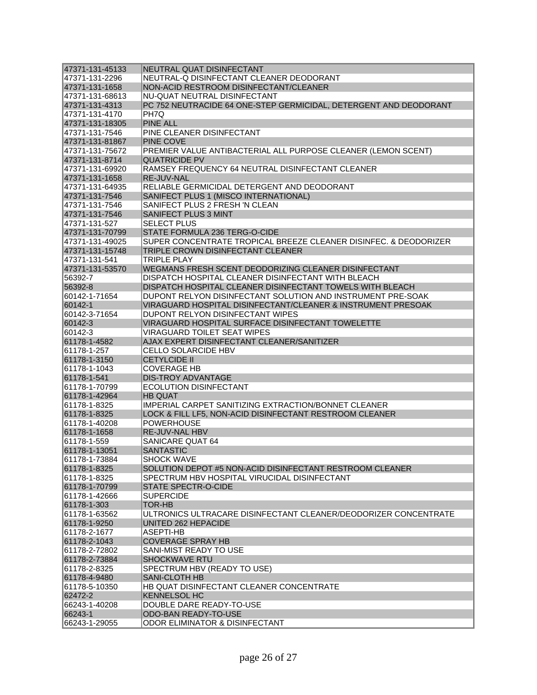| 47371-131-45133 | NEUTRAL QUAT DISINFECTANT                                         |
|-----------------|-------------------------------------------------------------------|
| 47371-131-2296  | NEUTRAL-Q DISINFECTANT CLEANER DEODORANT                          |
| 47371-131-1658  | NON-ACID RESTROOM DISINFECTANT/CLEANER                            |
| 47371-131-68613 | NU-QUAT NEUTRAL DISINFECTANT                                      |
| 47371-131-4313  | PC 752 NEUTRACIDE 64 ONE-STEP GERMICIDAL, DETERGENT AND DEODORANT |
| 47371-131-4170  | PH7Q                                                              |
| 47371-131-18305 | <b>PINE ALL</b>                                                   |
| 47371-131-7546  | PINE CLEANER DISINFECTANT                                         |
| 47371-131-81867 | <b>PINE COVE</b>                                                  |
| 47371-131-75672 | PREMIER VALUE ANTIBACTERIAL ALL PURPOSE CLEANER (LEMON SCENT)     |
| 47371-131-8714  | <b>QUATRICIDE PV</b>                                              |
| 47371-131-69920 | RAMSEY FREQUENCY 64 NEUTRAL DISINFECTANT CLEANER                  |
| 47371-131-1658  | <b>RE-JUV-NAL</b>                                                 |
| 47371-131-64935 | RELIABLE GERMICIDAL DETERGENT AND DEODORANT                       |
| 47371-131-7546  | SANIFECT PLUS 1 (MISCO INTERNATIONAL)                             |
| 47371-131-7546  | SANIFECT PLUS 2 FRESH 'N CLEAN                                    |
| 47371-131-7546  | <b>SANIFECT PLUS 3 MINT</b>                                       |
| 47371-131-527   | <b>SELECT PLUS</b>                                                |
| 47371-131-70799 | STATE FORMULA 236 TERG-O-CIDE                                     |
| 47371-131-49025 | SUPER CONCENTRATE TROPICAL BREEZE CLEANER DISINFEC. & DEODORIZER  |
| 47371-131-15748 | TRIPLE CROWN DISINFECTANT CLEANER                                 |
| 47371-131-541   | <b>TRIPLE PLAY</b>                                                |
| 47371-131-53570 | WEGMANS FRESH SCENT DEODORIZING CLEANER DISINFECTANT              |
| 56392-7         | DISPATCH HOSPITAL CLEANER DISINFECTANT WITH BLEACH                |
| 56392-8         | DISPATCH HOSPITAL CLEANER DISINFECTANT TOWELS WITH BLEACH         |
| 60142-1-71654   | DUPONT RELYON DISINFECTANT SOLUTION AND INSTRUMENT PRE-SOAK       |
| 60142-1         | VIRAGUARD HOSPITAL DISINFECTANT/CLEANER & INSTRUMENT PRESOAK      |
| 60142-3-71654   | DUPONT RELYON DISINFECTANT WIPES                                  |
| 60142-3         | VIRAGUARD HOSPITAL SURFACE DISINFECTANT TOWELETTE                 |
| 60142-3         | VIRAGUARD TOILET SEAT WIPES                                       |
| 61178-1-4582    | AJAX EXPERT DISINFECTANT CLEANER/SANITIZER                        |
| 61178-1-257     | <b>CELLO SOLARCIDE HBV</b>                                        |
| 61178-1-3150    | <b>CETYLCIDE II</b>                                               |
| 61178-1-1043    | <b>COVERAGE HB</b>                                                |
| 61178-1-541     | <b>DIS-TROY ADVANTAGE</b>                                         |
| 61178-1-70799   | ECOLUTION DISINFECTANT                                            |
| 61178-1-42964   | <b>HB QUAT</b>                                                    |
| 61178-1-8325    | IMPERIAL CARPET SANITIZING EXTRACTION/BONNET CLEANER              |
| 61178-1-8325    | LOCK & FILL LF5, NON-ACID DISINFECTANT RESTROOM CLEANER           |
| 61178-1-40208   | <b>POWERHOUSE</b>                                                 |
| 61178-1-1658    | RE-JUV-NAL HBV                                                    |
| 61178-1-559     | SANICARE QUAT 64                                                  |
| 61178-1-13051   | <b>SANTASTIC</b>                                                  |
| 61178-1-73884   | <b>SHOCK WAVE</b>                                                 |
| 61178-1-8325    | SOLUTION DEPOT #5 NON-ACID DISINFECTANT RESTROOM CLEANER          |
| 61178-1-8325    | SPECTRUM HBV HOSPITAL VIRUCIDAL DISINFECTANT                      |
| 61178-1-70799   | STATE SPECTR-O-CIDE                                               |
| 61178-1-42666   | <b>SUPERCIDE</b>                                                  |
| 61178-1-303     | <b>TOR-HB</b>                                                     |
| 61178-1-63562   | ULTRONICS ULTRACARE DISINFECTANT CLEANER/DEODORIZER CONCENTRATE   |
| 61178-1-9250    | UNITED 262 HEPACIDE                                               |
| 61178-2-1677    | ASEPTI-HB                                                         |
| 61178-2-1043    | <b>COVERAGE SPRAY HB</b>                                          |
| 61178-2-72802   | SANI-MIST READY TO USE                                            |
| 61178-2-73884   | <b>SHOCKWAVE RTU</b>                                              |
| 61178-2-8325    | SPECTRUM HBV (READY TO USE)                                       |
| 61178-4-9480    | SANI-CLOTH HB                                                     |
| 61178-5-10350   | HB QUAT DISINFECTANT CLEANER CONCENTRATE                          |
| 62472-2         | <b>KENNELSOL HC</b>                                               |
| 66243-1-40208   | DOUBLE DARE READY-TO-USE                                          |
| 66243-1         | ODO-BAN READY-TO-USE                                              |
| 66243-1-29055   | ODOR ELIMINATOR & DISINFECTANT                                    |
|                 |                                                                   |